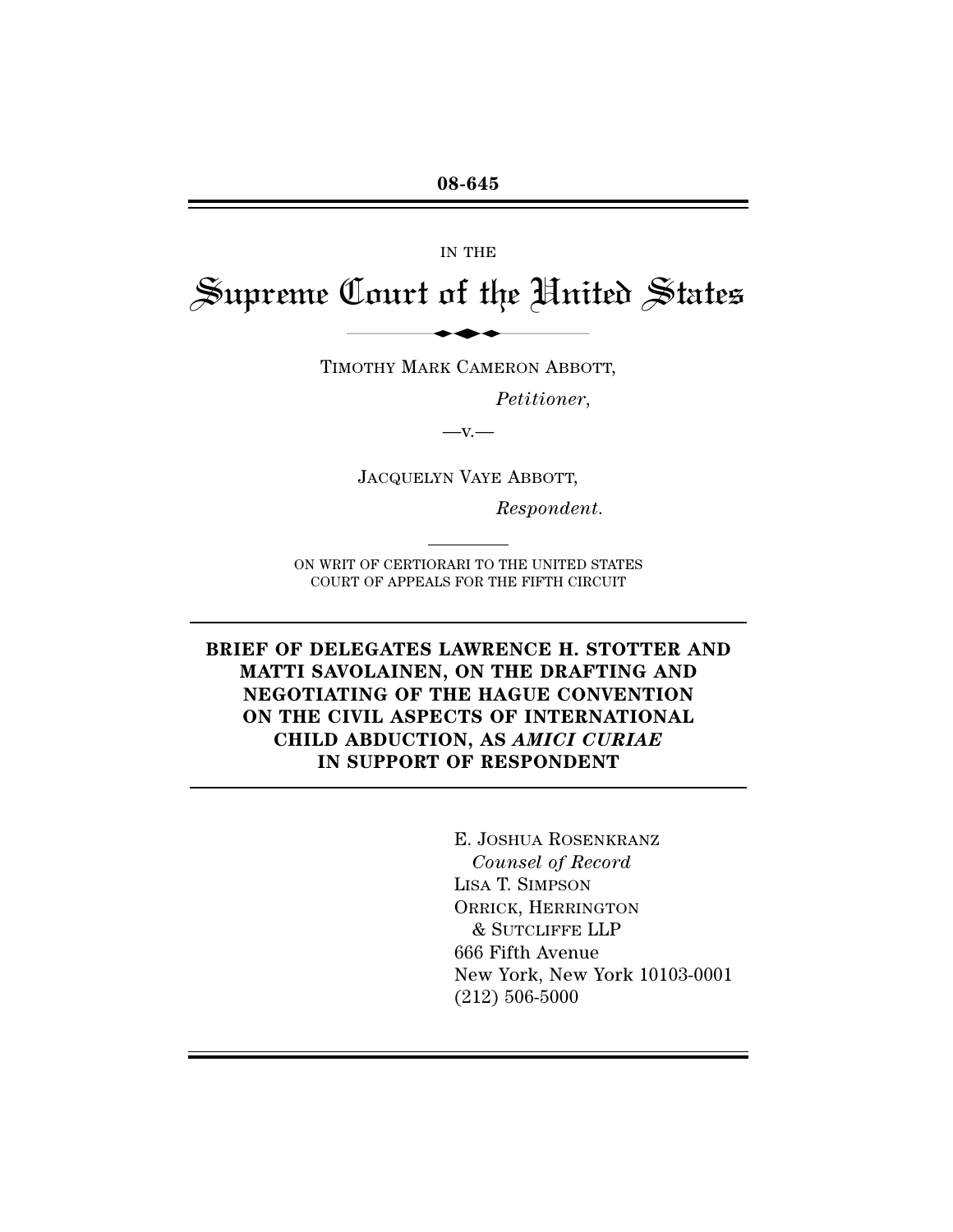IN THE

# Supreme Court of the United States IN THE<br>Court of the Him

TIMOTHY MARK CAMERON ABBOTT,

*Petitioner*,

 $-\mathbf{V}$ .

JACQUELYN VAYE ABBOTT,

*Respondent*.

ON WRIT OF CERTIORARI TO THE UNITED STATES COURT OF APPEALS FOR THE FIFTH CIRCUIT

**BRIEF OF DELEGATES LAWRENCE H. STOTTER AND MATTI SAVOLAINEN, ON THE DRAFTING AND NEGOTIATING OF THE HAGUE CONVENTION ON THE CIVIL ASPECTS OF INTERNATIONAL CHILD ABDUCTION, AS** *AMICI CURIAE* **IN SUPPORT OF RESPONDENT**

> E. JOSHUA ROSENKRANZ *Counsel of Record* LISA T. SIMPSON ORRICK, HERRINGTON & SUTCLIFFE LLP 666 Fifth Avenue New York, New York 10103-0001 (212) 506-5000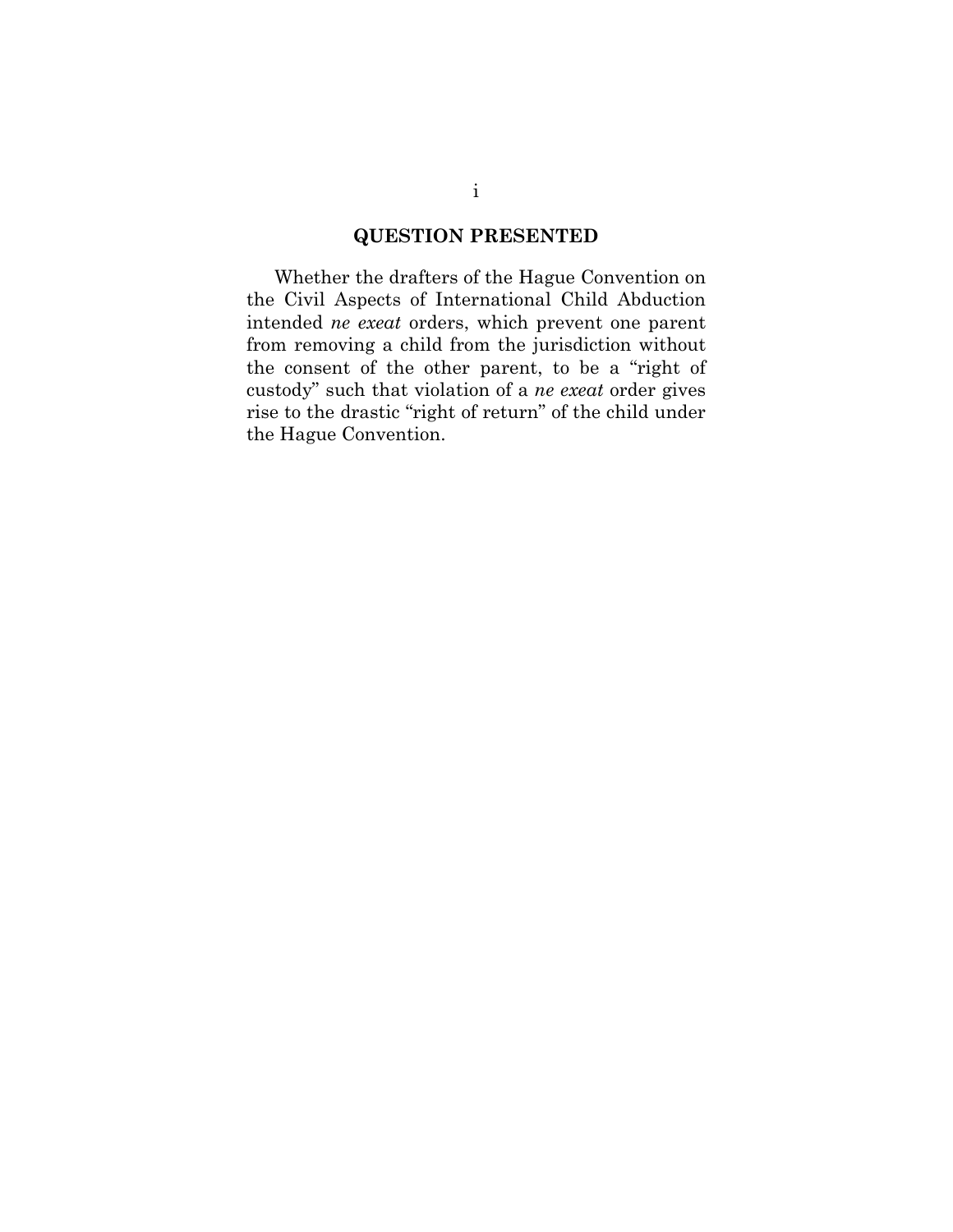# **QUESTION PRESENTED**

Whether the drafters of the Hague Convention on the Civil Aspects of International Child Abduction intended *ne exeat* orders, which prevent one parent from removing a child from the jurisdiction without the consent of the other parent, to be a "right of custody" such that violation of a *ne exeat* order gives rise to the drastic "right of return" of the child under the Hague Convention.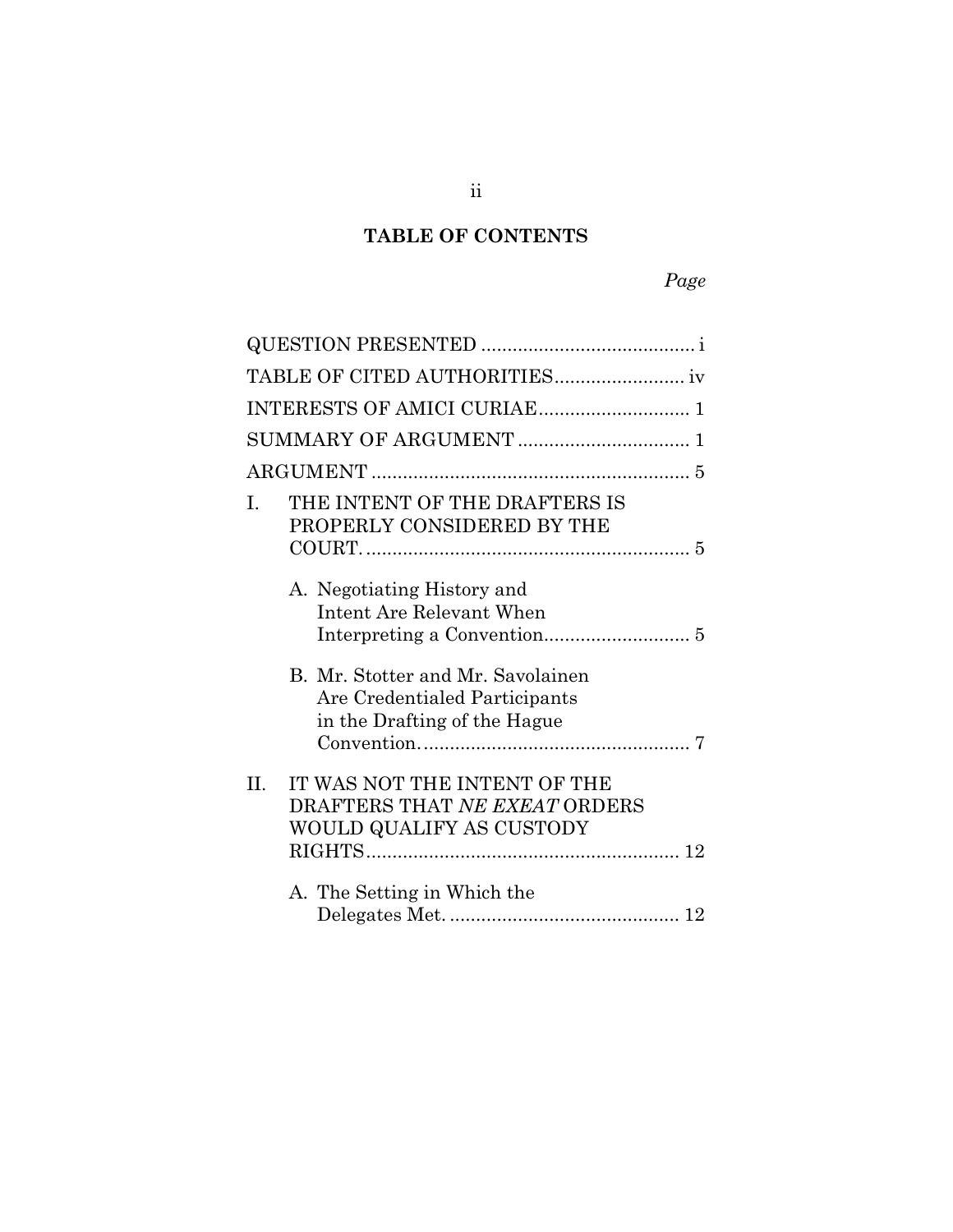# **TABLE OF CONTENTS**

| THE INTENT OF THE DRAFTERS IS<br>L<br>PROPERLY CONSIDERED BY THE                                   |  |
|----------------------------------------------------------------------------------------------------|--|
|                                                                                                    |  |
| A. Negotiating History and<br>Intent Are Relevant When                                             |  |
| B. Mr. Stotter and Mr. Savolainen<br>Are Credentialed Participants<br>in the Drafting of the Hague |  |
| IT WAS NOT THE INTENT OF THE<br>II.<br>DRAFTERS THAT NE EXEAT ORDERS<br>WOULD QUALIFY AS CUSTODY   |  |
| A. The Setting in Which the                                                                        |  |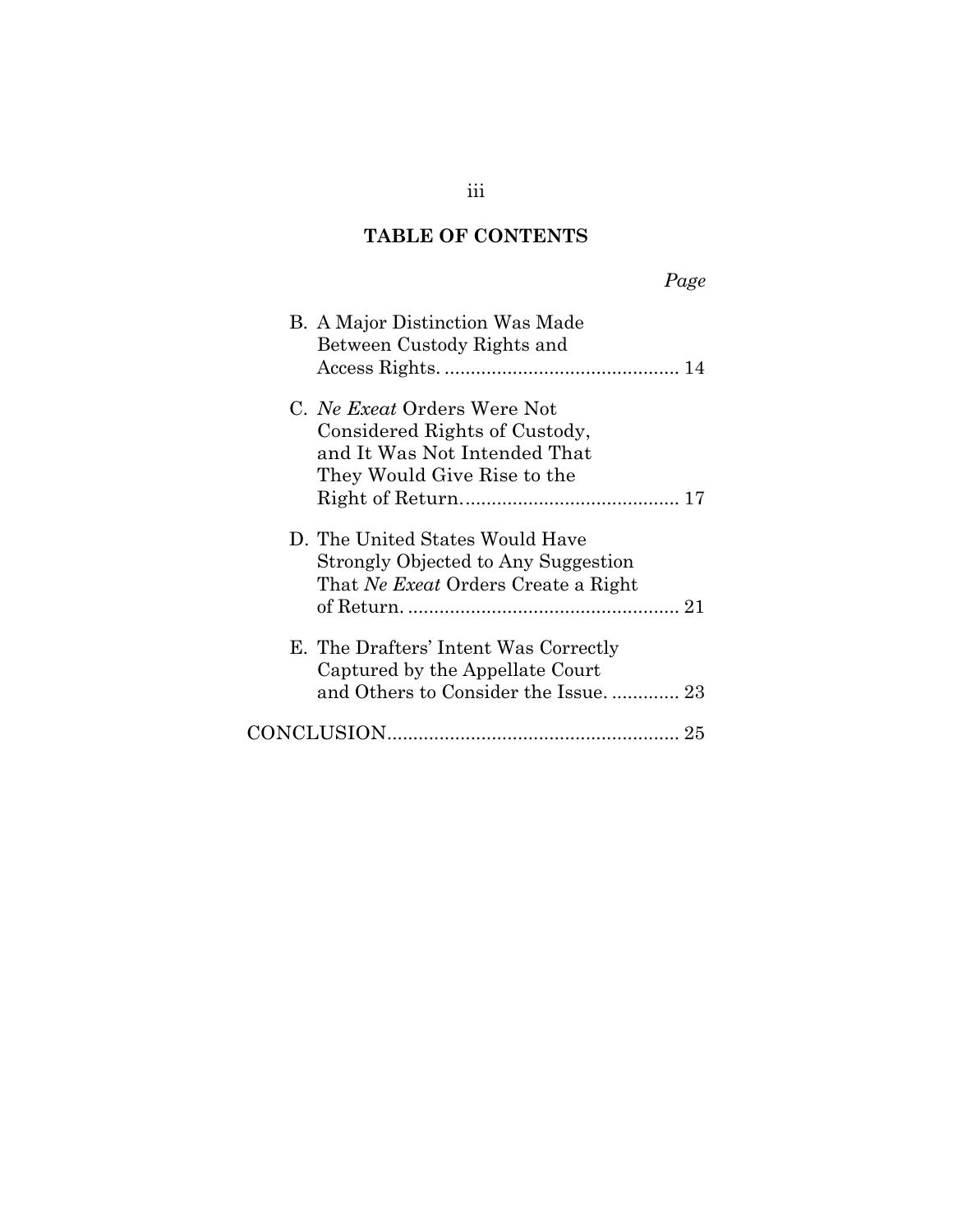# **TABLE OF CONTENTS**

| Page                                                                                                                        |  |
|-----------------------------------------------------------------------------------------------------------------------------|--|
| B. A Major Distinction Was Made<br>Between Custody Rights and                                                               |  |
| C. Ne Exeat Orders Were Not<br>Considered Rights of Custody,<br>and It Was Not Intended That<br>They Would Give Rise to the |  |
| D. The United States Would Have<br>Strongly Objected to Any Suggestion<br>That Ne Exect Orders Create a Right               |  |
| E. The Drafters' Intent Was Correctly<br>Captured by the Appellate Court<br>and Others to Consider the Issue 23             |  |
| 25                                                                                                                          |  |

iii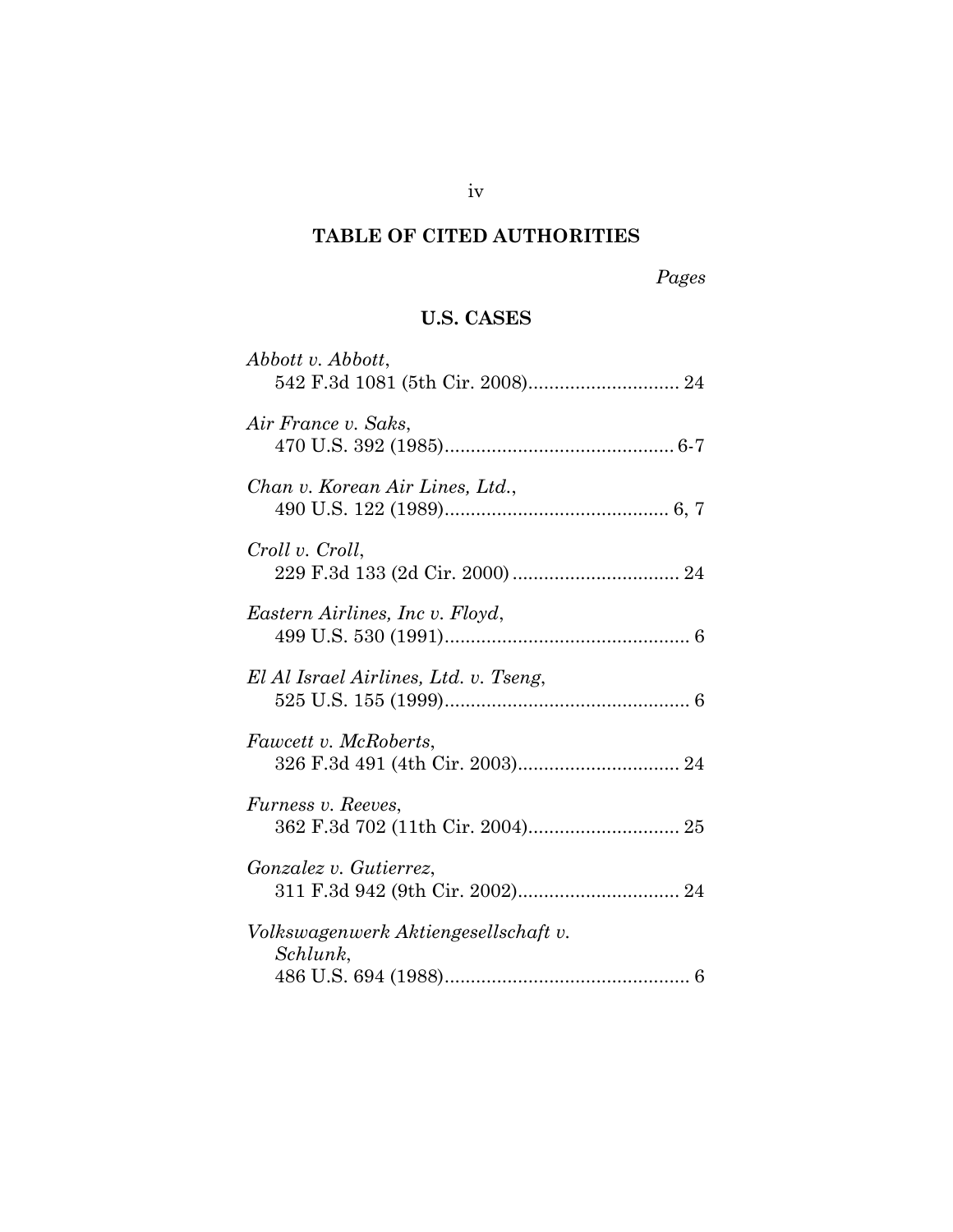# **TABLE OF CITED AUTHORITIES**

*Pages*

# **U.S. CASES**

| Abbott v. Abbott,                                |
|--------------------------------------------------|
| Air France v. Saks,                              |
| Chan v. Korean Air Lines, Ltd.,                  |
| Croll v. Croll,                                  |
| Eastern Airlines, Inc v. Floyd,                  |
| El Al Israel Airlines, Ltd. v. Tseng,            |
| Fawcett v. McRoberts,                            |
| <i>Furness v. Reeves,</i>                        |
| <i>Gonzalez v. Gutierrez,</i>                    |
| Volkswagenwerk Aktiengesellschaft v.<br>Schlunk, |
|                                                  |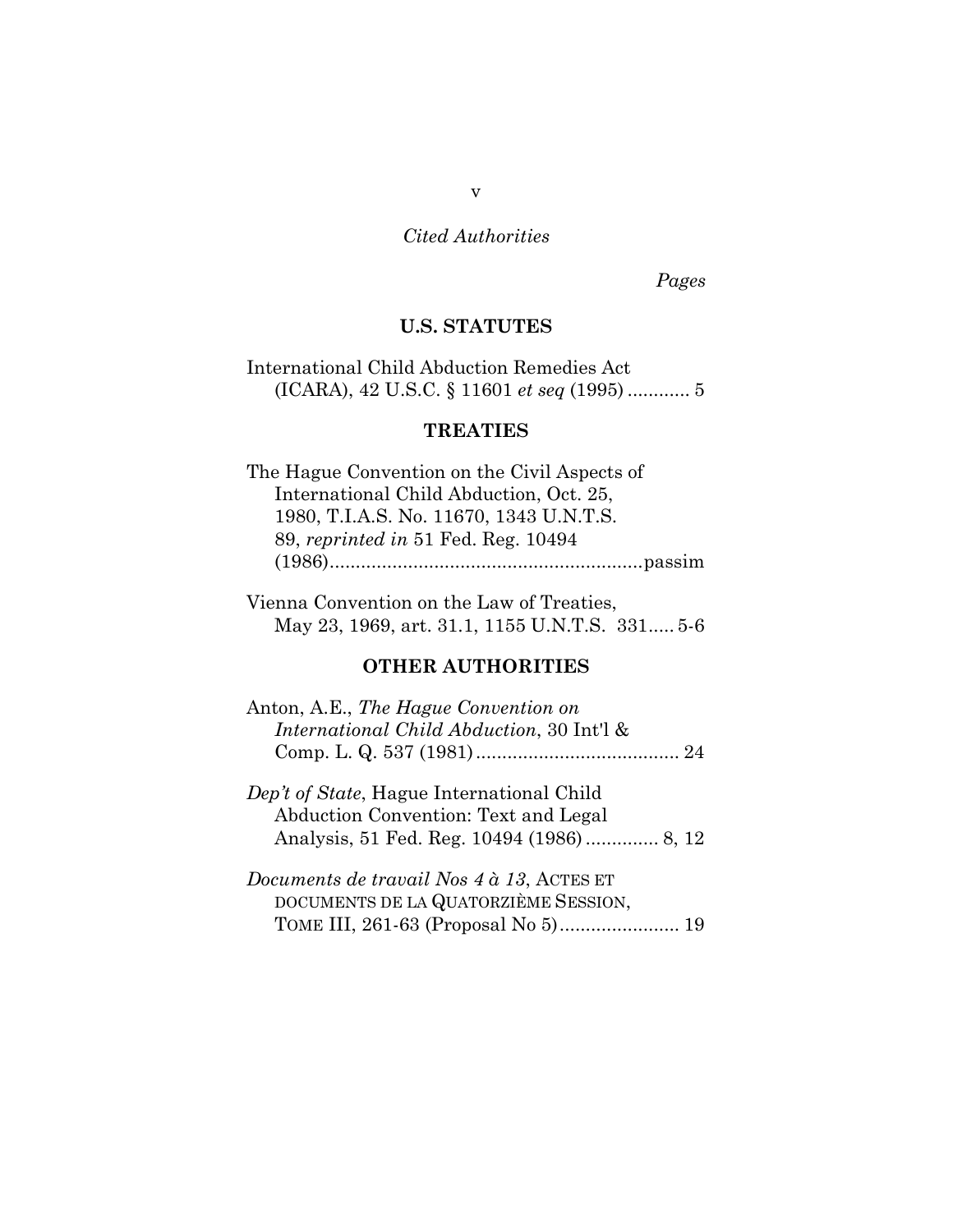*Pages*

## **U.S. STATUTES**

International Child Abduction Remedies Act (ICARA), 42 U.S.C. § 11601 *et seq* (1995) ............ 5

## **TREATIES**

The Hague Convention on the Civil Aspects of International Child Abduction, Oct. 25, 1980, T.I.A.S. No. 11670, 1343 U.N.T.S. 89, *reprinted in* 51 Fed. Reg. 10494 (1986)............................................................passim

Vienna Convention on the Law of Treaties, May 23, 1969, art. 31.1, 1155 U.N.T.S. 331..... 5-6

## **OTHER AUTHORITIES**

| Anton, A.E., The Hague Convention on                                                          |  |
|-----------------------------------------------------------------------------------------------|--|
| <i>International Child Abduction, 30 Int'l &amp;</i>                                          |  |
|                                                                                               |  |
|                                                                                               |  |
| Dep't of State, Hague International Child                                                     |  |
| $\Lambda$ and $\Lambda$ and $\Lambda$ are $\Lambda$ and $\Lambda$ and $\Lambda$ and $\Lambda$ |  |

Abduction Convention: Text and Legal Analysis, 51 Fed. Reg. 10494 (1986) .............. 8, 12

*Documents de travail Nos 4 à 13*, ACTES ET DOCUMENTS DE LA QUATORZIÈME SESSION, TOME III, 261-63 (Proposal No 5)....................... 19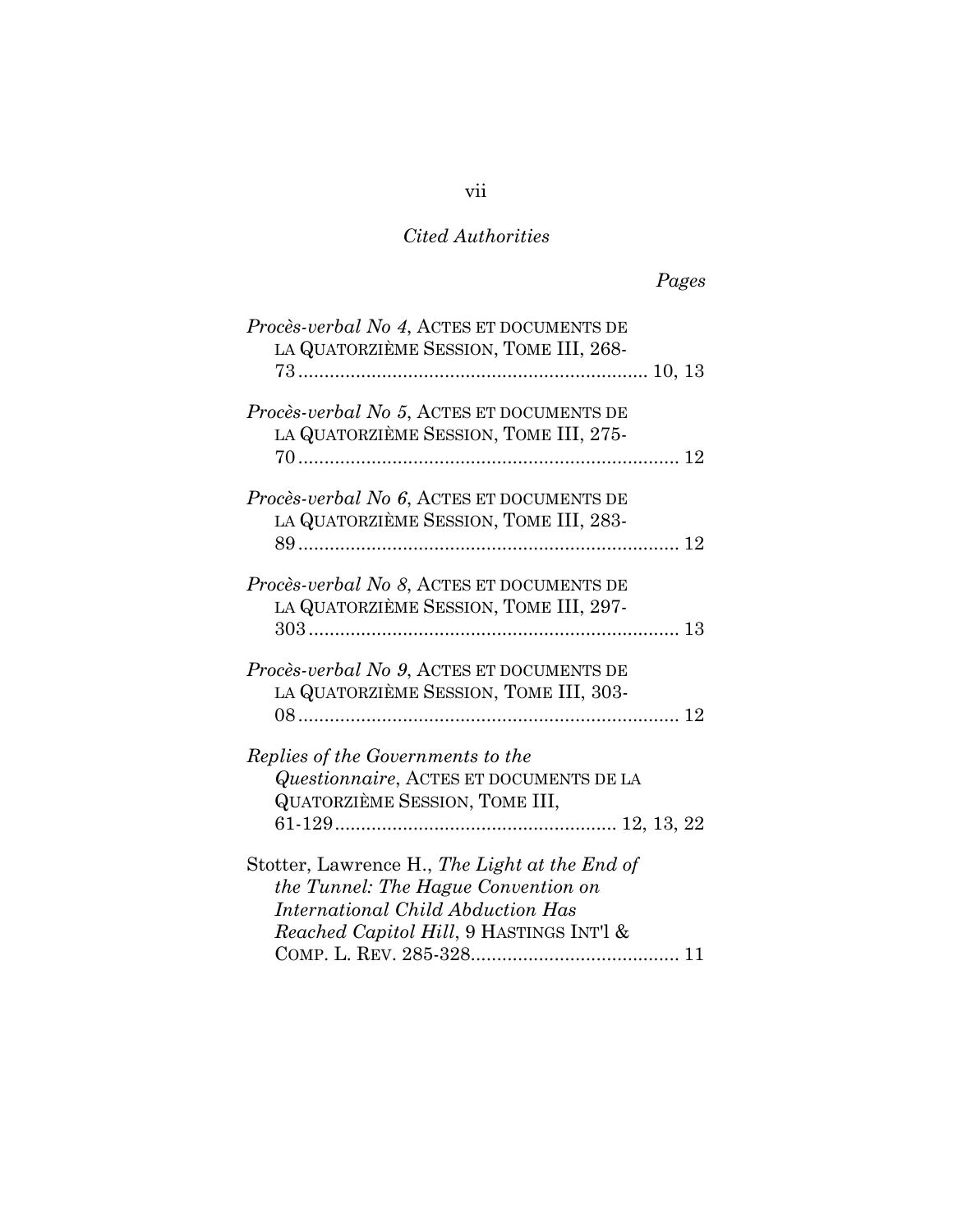# *Pages*

| Procès-verbal No 4, ACTES ET DOCUMENTS DE        |
|--------------------------------------------------|
| LA QUATORZIÈME SESSION, TOME III, 268-           |
| Procès-verbal No 5, ACTES ET DOCUMENTS DE        |
| LA QUATORZIÈME SESSION, TOME III, 275-           |
| Procès-verbal No 6, ACTES ET DOCUMENTS DE        |
| LA QUATORZIÈME SESSION, TOME III, 283-           |
| <i>Procès-verbal No 8, ACTES ET DOCUMENTS DE</i> |
| LA QUATORZIÈME SESSION, TOME III, 297-           |
|                                                  |
| Procès-verbal No 9, ACTES ET DOCUMENTS DE        |
| LA QUATORZIÈME SESSION, TOME III, 303-           |
|                                                  |
| Replies of the Governments to the                |
| Questionnaire, ACTES ET DOCUMENTS DE LA          |
| <b>QUATORZIÈME SESSION, TOME III,</b>            |
|                                                  |
| Stotter, Lawrence H., The Light at the End of    |
| the Tunnel: The Hague Convention on              |
| International Child Abduction Has                |
| Reached Capitol Hill, 9 HASTINGS INT'l &         |
|                                                  |

# vii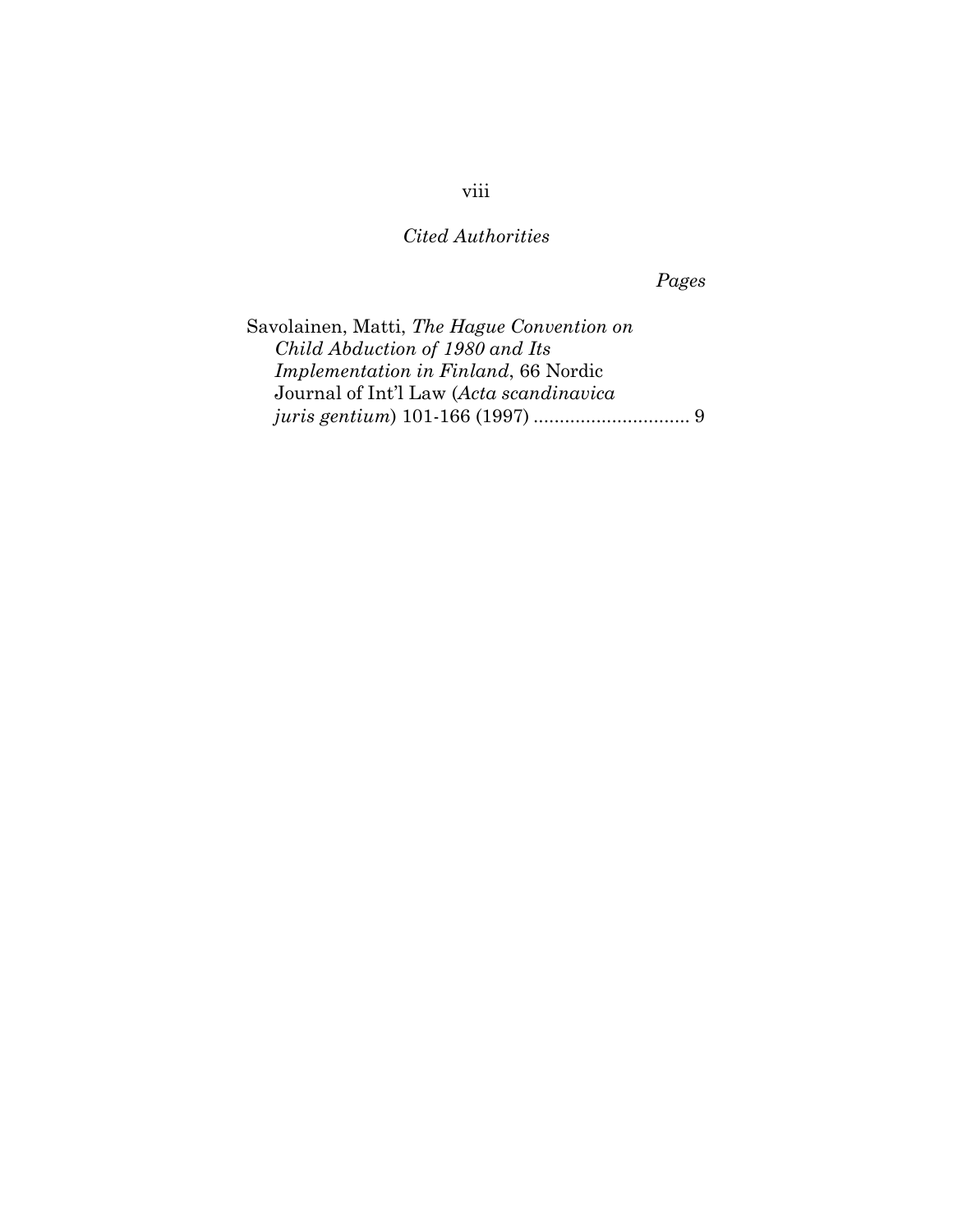*Pages*

Savolainen, Matti, *The Hague Convention on Child Abduction of 1980 and Its Implementation in Finland*, 66 Nordic Journal of Int'l Law (*Acta scandinavica juris gentium*) 101-166 (1997) .............................. 9

viii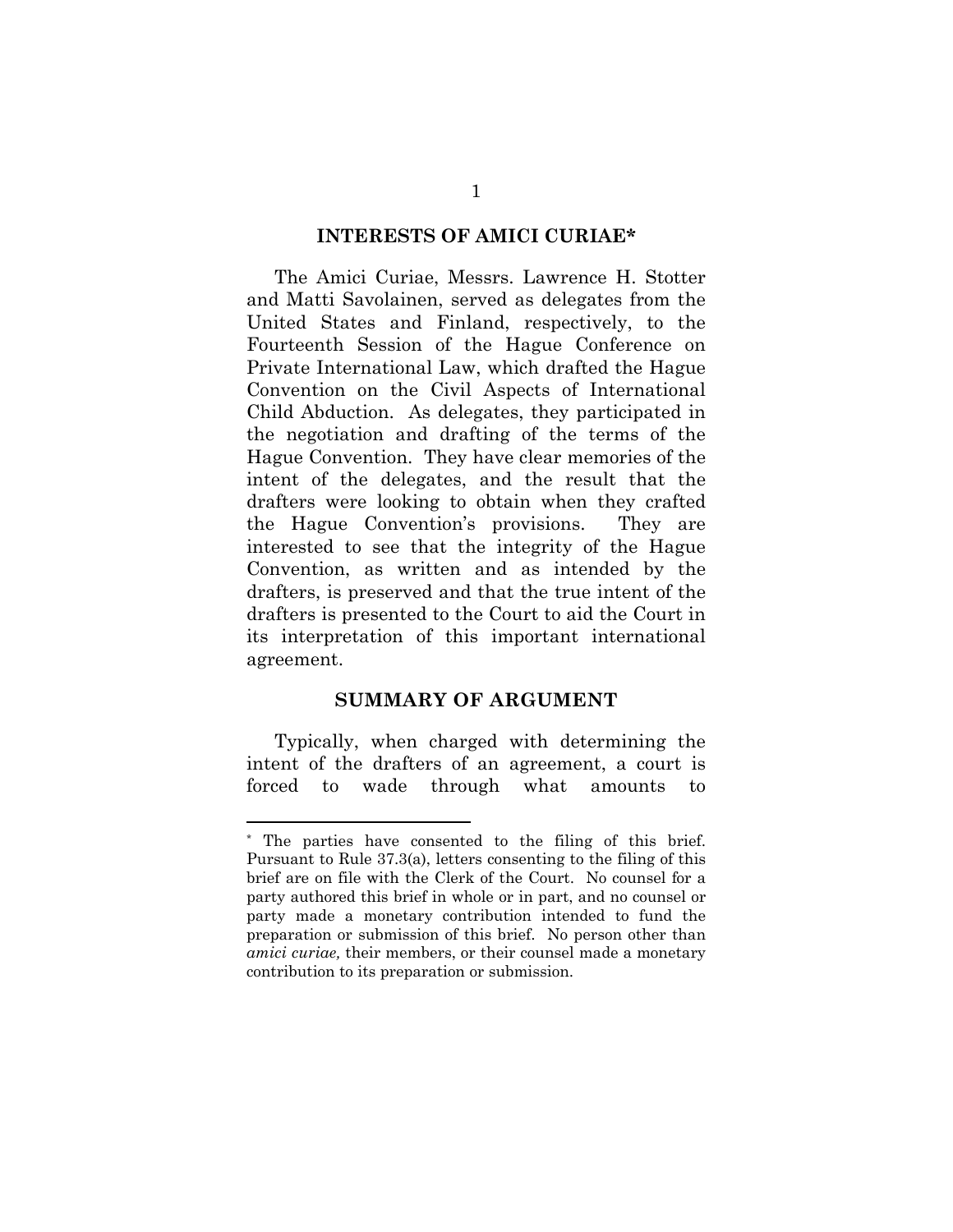#### **INTERESTS OF AMICI CURIAE\***

The Amici Curiae, Messrs. Lawrence H. Stotter and Matti Savolainen, served as delegates from the United States and Finland, respectively, to the Fourteenth Session of the Hague Conference on Private International Law, which drafted the Hague Convention on the Civil Aspects of International Child Abduction. As delegates, they participated in the negotiation and drafting of the terms of the Hague Convention. They have clear memories of the intent of the delegates, and the result that the drafters were looking to obtain when they crafted the Hague Convention's provisions. They are interested to see that the integrity of the Hague Convention, as written and as intended by the drafters, is preserved and that the true intent of the drafters is presented to the Court to aid the Court in its interpretation of this important international agreement.

#### **SUMMARY OF ARGUMENT**

Typically, when charged with determining the intent of the drafters of an agreement, a court is forced to wade through what amounts to

<sup>\*</sup> The parties have consented to the filing of this brief. Pursuant to Rule 37.3(a), letters consenting to the filing of this brief are on file with the Clerk of the Court. No counsel for a party authored this brief in whole or in part, and no counsel or party made a monetary contribution intended to fund the preparation or submission of this brief. No person other than *amici curiae,* their members, or their counsel made a monetary contribution to its preparation or submission.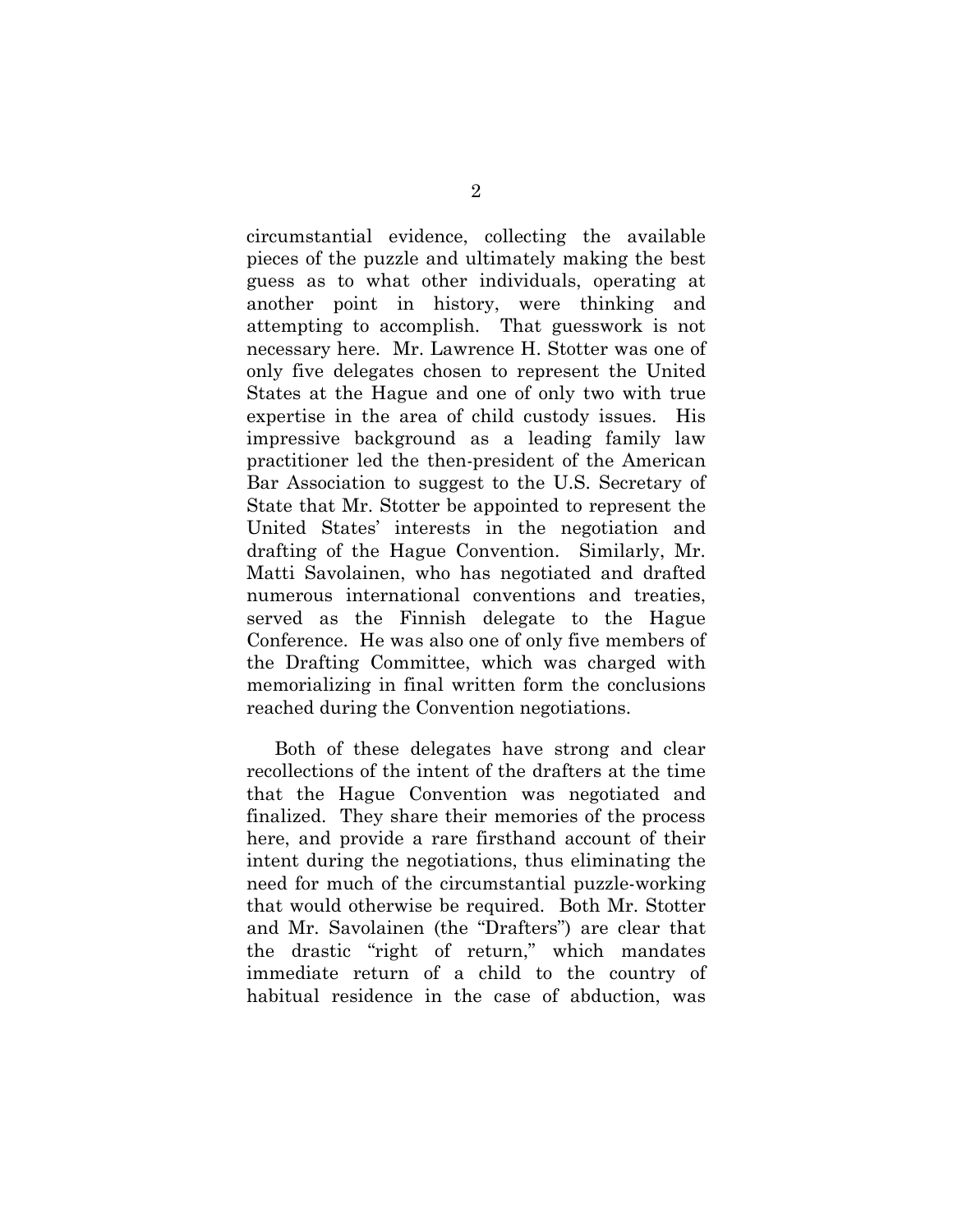circumstantial evidence, collecting the available pieces of the puzzle and ultimately making the best guess as to what other individuals, operating at another point in history, were thinking and attempting to accomplish. That guesswork is not necessary here. Mr. Lawrence H. Stotter was one of only five delegates chosen to represent the United States at the Hague and one of only two with true expertise in the area of child custody issues. His impressive background as a leading family law practitioner led the then-president of the American Bar Association to suggest to the U.S. Secretary of State that Mr. Stotter be appointed to represent the United States' interests in the negotiation and drafting of the Hague Convention. Similarly, Mr. Matti Savolainen, who has negotiated and drafted numerous international conventions and treaties, served as the Finnish delegate to the Hague Conference. He was also one of only five members of the Drafting Committee, which was charged with memorializing in final written form the conclusions reached during the Convention negotiations.

Both of these delegates have strong and clear recollections of the intent of the drafters at the time that the Hague Convention was negotiated and finalized. They share their memories of the process here, and provide a rare firsthand account of their intent during the negotiations, thus eliminating the need for much of the circumstantial puzzle-working that would otherwise be required. Both Mr. Stotter and Mr. Savolainen (the "Drafters") are clear that the drastic "right of return," which mandates immediate return of a child to the country of habitual residence in the case of abduction, was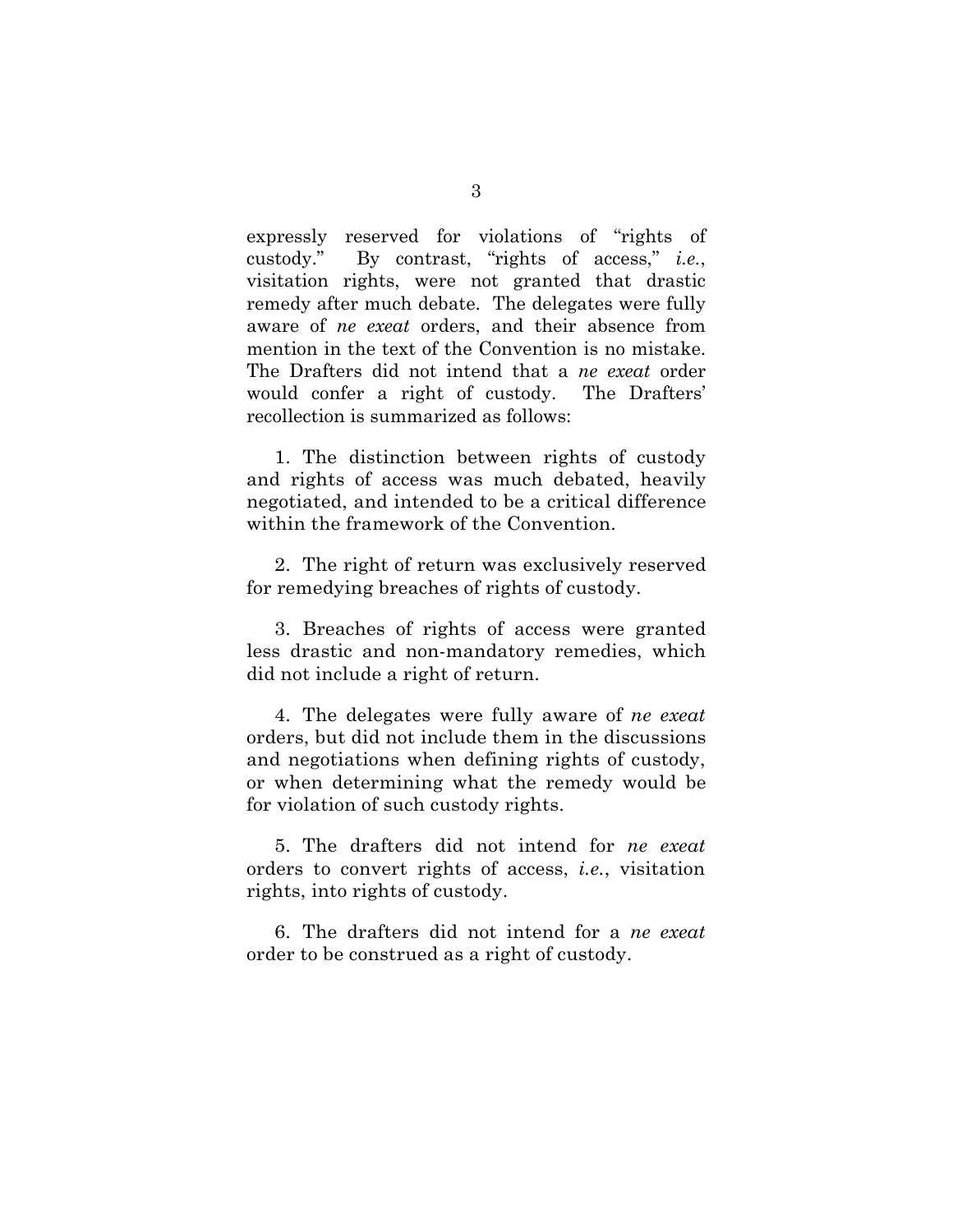expressly reserved for violations of "rights of custody." By contrast, "rights of access," *i.e.*, visitation rights, were not granted that drastic remedy after much debate. The delegates were fully aware of *ne exeat* orders, and their absence from mention in the text of the Convention is no mistake. The Drafters did not intend that a *ne exeat* order would confer a right of custody. The Drafters' recollection is summarized as follows:

1. The distinction between rights of custody and rights of access was much debated, heavily negotiated, and intended to be a critical difference within the framework of the Convention.

2. The right of return was exclusively reserved for remedying breaches of rights of custody.

3. Breaches of rights of access were granted less drastic and non-mandatory remedies, which did not include a right of return.

4. The delegates were fully aware of *ne exeat* orders, but did not include them in the discussions and negotiations when defining rights of custody, or when determining what the remedy would be for violation of such custody rights.

5. The drafters did not intend for *ne exeat* orders to convert rights of access, *i.e.*, visitation rights, into rights of custody.

6. The drafters did not intend for a *ne exeat* order to be construed as a right of custody.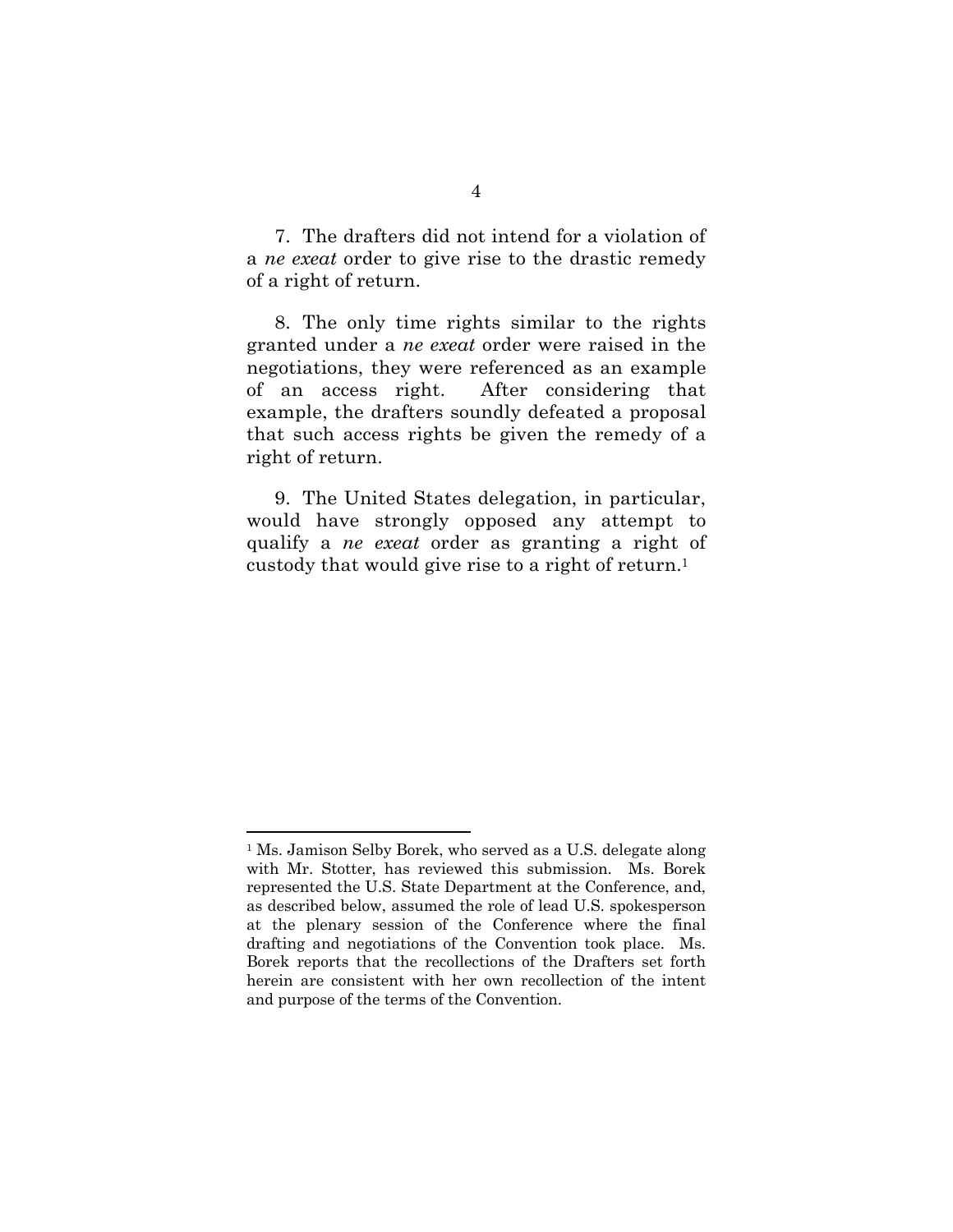7. The drafters did not intend for a violation of a *ne exeat* order to give rise to the drastic remedy of a right of return.

8. The only time rights similar to the rights granted under a *ne exeat* order were raised in the negotiations, they were referenced as an example of an access right. After considering that example, the drafters soundly defeated a proposal that such access rights be given the remedy of a right of return.

9. The United States delegation, in particular, would have strongly opposed any attempt to qualify a *ne exeat* order as granting a right of custody that would give rise to a right of return.1

<sup>1</sup> Ms. Jamison Selby Borek, who served as a U.S. delegate along with Mr. Stotter, has reviewed this submission. Ms. Borek represented the U.S. State Department at the Conference, and, as described below, assumed the role of lead U.S. spokesperson at the plenary session of the Conference where the final drafting and negotiations of the Convention took place. Ms. Borek reports that the recollections of the Drafters set forth herein are consistent with her own recollection of the intent and purpose of the terms of the Convention.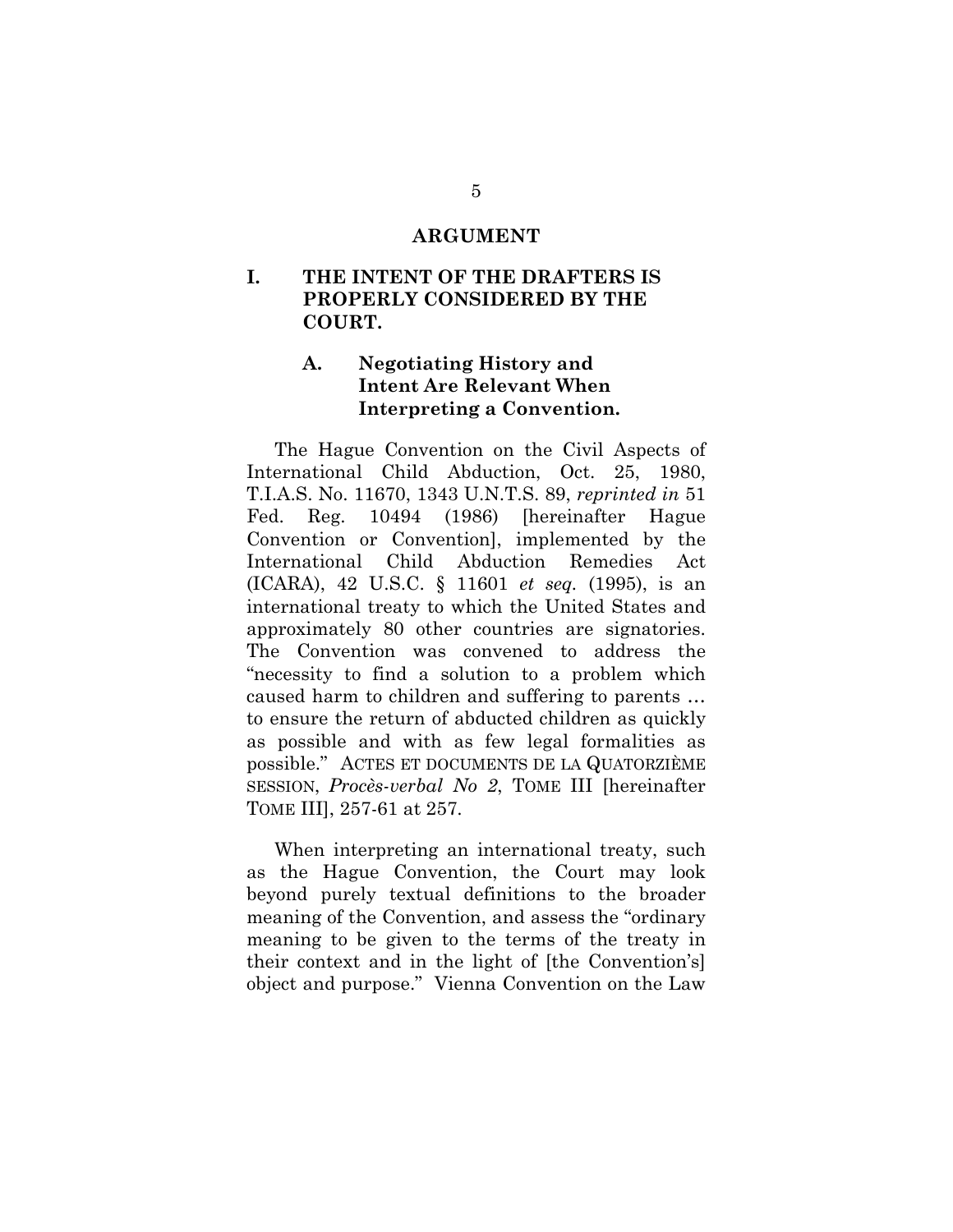#### **ARGUMENT**

## **I. THE INTENT OF THE DRAFTERS IS PROPERLY CONSIDERED BY THE COURT.**

# **A. Negotiating History and Intent Are Relevant When Interpreting a Convention.**

The Hague Convention on the Civil Aspects of International Child Abduction, Oct. 25, 1980, T.I.A.S. No. 11670, 1343 U.N.T.S. 89, *reprinted in* 51 Fed. Reg. 10494 (1986) [hereinafter Hague Convention or Convention], implemented by the International Child Abduction Remedies Act (ICARA), 42 U.S.C. § 11601 *et seq.* (1995), is an international treaty to which the United States and approximately 80 other countries are signatories. The Convention was convened to address the "necessity to find a solution to a problem which caused harm to children and suffering to parents … to ensure the return of abducted children as quickly as possible and with as few legal formalities as possible." ACTES ET DOCUMENTS DE LA QUATORZIÈME SESSION, *Procès-verbal No 2*, TOME III [hereinafter TOME III], 257-61 at 257.

When interpreting an international treaty, such as the Hague Convention, the Court may look beyond purely textual definitions to the broader meaning of the Convention, and assess the "ordinary meaning to be given to the terms of the treaty in their context and in the light of [the Convention's] object and purpose." Vienna Convention on the Law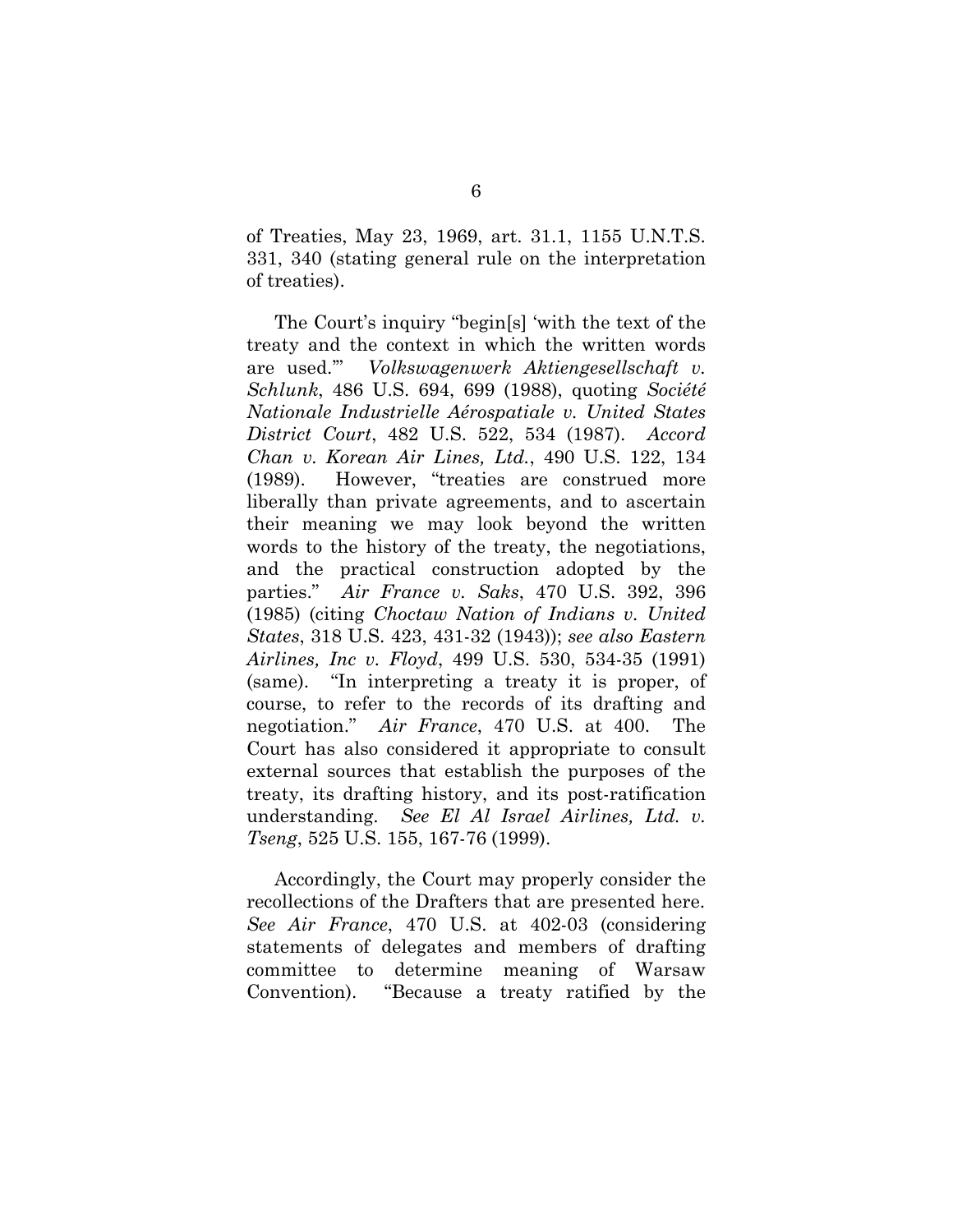of Treaties, May 23, 1969, art. 31.1, 1155 U.N.T.S. 331, 340 (stating general rule on the interpretation of treaties).

The Court's inquiry "begin[s] 'with the text of the treaty and the context in which the written words are used.'" *Volkswagenwerk Aktiengesellschaft v. Schlunk*, 486 U.S. 694, 699 (1988), quoting *Société Nationale Industrielle Aérospatiale v. United States District Court*, 482 U.S. 522, 534 (1987). *Accord Chan v. Korean Air Lines, Ltd.*, 490 U.S. 122, 134 (1989). However, "treaties are construed more liberally than private agreements, and to ascertain their meaning we may look beyond the written words to the history of the treaty, the negotiations, and the practical construction adopted by the parties." *Air France v. Saks*, 470 U.S. 392, 396 (1985) (citing *Choctaw Nation of Indians v. United States*, 318 U.S. 423, 431-32 (1943)); *see also Eastern Airlines, Inc v. Floyd*, 499 U.S. 530, 534-35 (1991) (same). "In interpreting a treaty it is proper, of course, to refer to the records of its drafting and negotiation." *Air France*, 470 U.S. at 400. The Court has also considered it appropriate to consult external sources that establish the purposes of the treaty, its drafting history, and its post-ratification understanding. *See El Al Israel Airlines, Ltd. v. Tseng*, 525 U.S. 155, 167-76 (1999).

Accordingly, the Court may properly consider the recollections of the Drafters that are presented here. *See Air France*, 470 U.S. at 402-03 (considering statements of delegates and members of drafting committee to determine meaning of Warsaw Convention). "Because a treaty ratified by the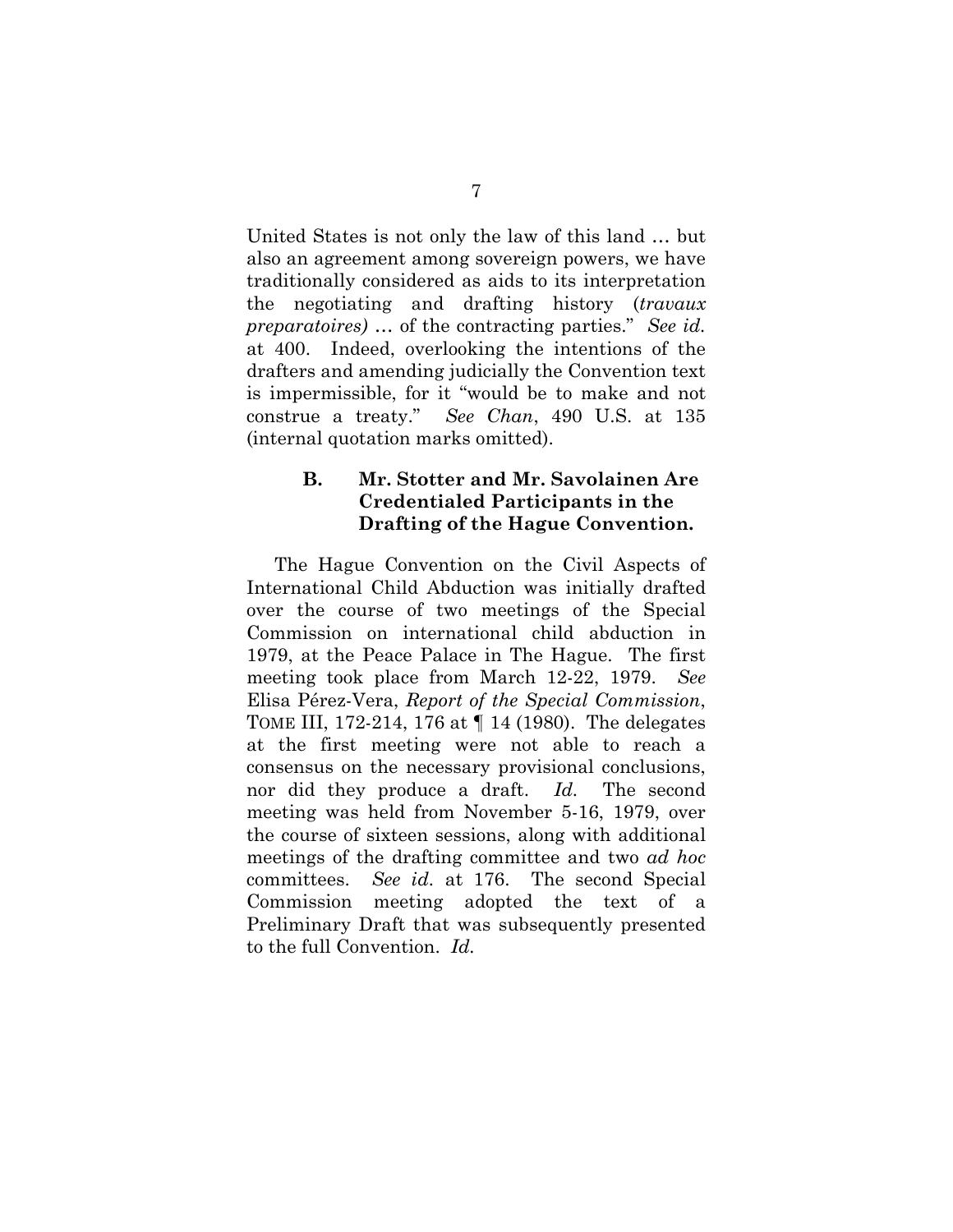United States is not only the law of this land … but also an agreement among sovereign powers, we have traditionally considered as aids to its interpretation the negotiating and drafting history (*travaux preparatoires)* … of the contracting parties." *See id.* at 400. Indeed, overlooking the intentions of the drafters and amending judicially the Convention text is impermissible, for it "would be to make and not construe a treaty." *See Chan*, 490 U.S. at 135 (internal quotation marks omitted).

# **B. Mr. Stotter and Mr. Savolainen Are Credentialed Participants in the Drafting of the Hague Convention.**

The Hague Convention on the Civil Aspects of International Child Abduction was initially drafted over the course of two meetings of the Special Commission on international child abduction in 1979, at the Peace Palace in The Hague. The first meeting took place from March 12-22, 1979. *See* Elisa Pérez-Vera, *Report of the Special Commission*, TOME III, 172-214, 176 at ¶ 14 (1980). The delegates at the first meeting were not able to reach a consensus on the necessary provisional conclusions, nor did they produce a draft. *Id.* The second meeting was held from November 5-16, 1979, over the course of sixteen sessions, along with additional meetings of the drafting committee and two *ad hoc* committees. *See id.* at 176. The second Special Commission meeting adopted the text of a Preliminary Draft that was subsequently presented to the full Convention. *Id.*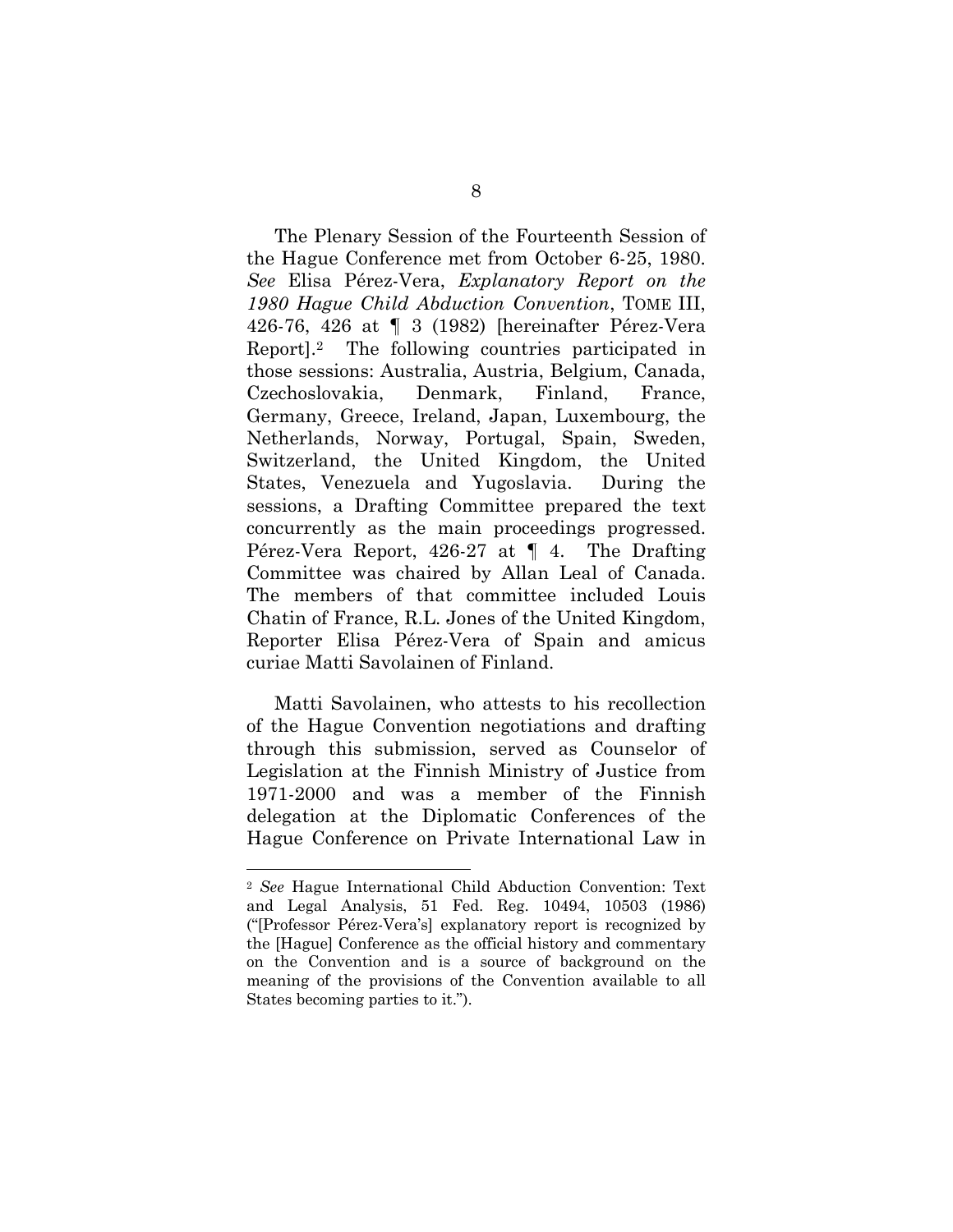The Plenary Session of the Fourteenth Session of the Hague Conference met from October 6-25, 1980. *See* Elisa Pérez-Vera, *Explanatory Report on the 1980 Hague Child Abduction Convention*, TOME III, 426-76, 426 at ¶ 3 (1982) [hereinafter Pérez-Vera Report].2 The following countries participated in those sessions: Australia, Austria, Belgium, Canada, Czechoslovakia, Denmark, Finland, France, Germany, Greece, Ireland, Japan, Luxembourg, the Netherlands, Norway, Portugal, Spain, Sweden, Switzerland, the United Kingdom, the United States, Venezuela and Yugoslavia. During the sessions, a Drafting Committee prepared the text concurrently as the main proceedings progressed. Pérez-Vera Report, 426-27 at ¶ 4. The Drafting Committee was chaired by Allan Leal of Canada. The members of that committee included Louis Chatin of France, R.L. Jones of the United Kingdom, Reporter Elisa Pérez-Vera of Spain and amicus curiae Matti Savolainen of Finland.

Matti Savolainen, who attests to his recollection of the Hague Convention negotiations and drafting through this submission, served as Counselor of Legislation at the Finnish Ministry of Justice from 1971-2000 and was a member of the Finnish delegation at the Diplomatic Conferences of the Hague Conference on Private International Law in

<sup>2</sup> *See* Hague International Child Abduction Convention: Text and Legal Analysis, 51 Fed. Reg. 10494, 10503 (1986) ("[Professor Pérez-Vera's] explanatory report is recognized by the [Hague] Conference as the official history and commentary on the Convention and is a source of background on the meaning of the provisions of the Convention available to all States becoming parties to it.").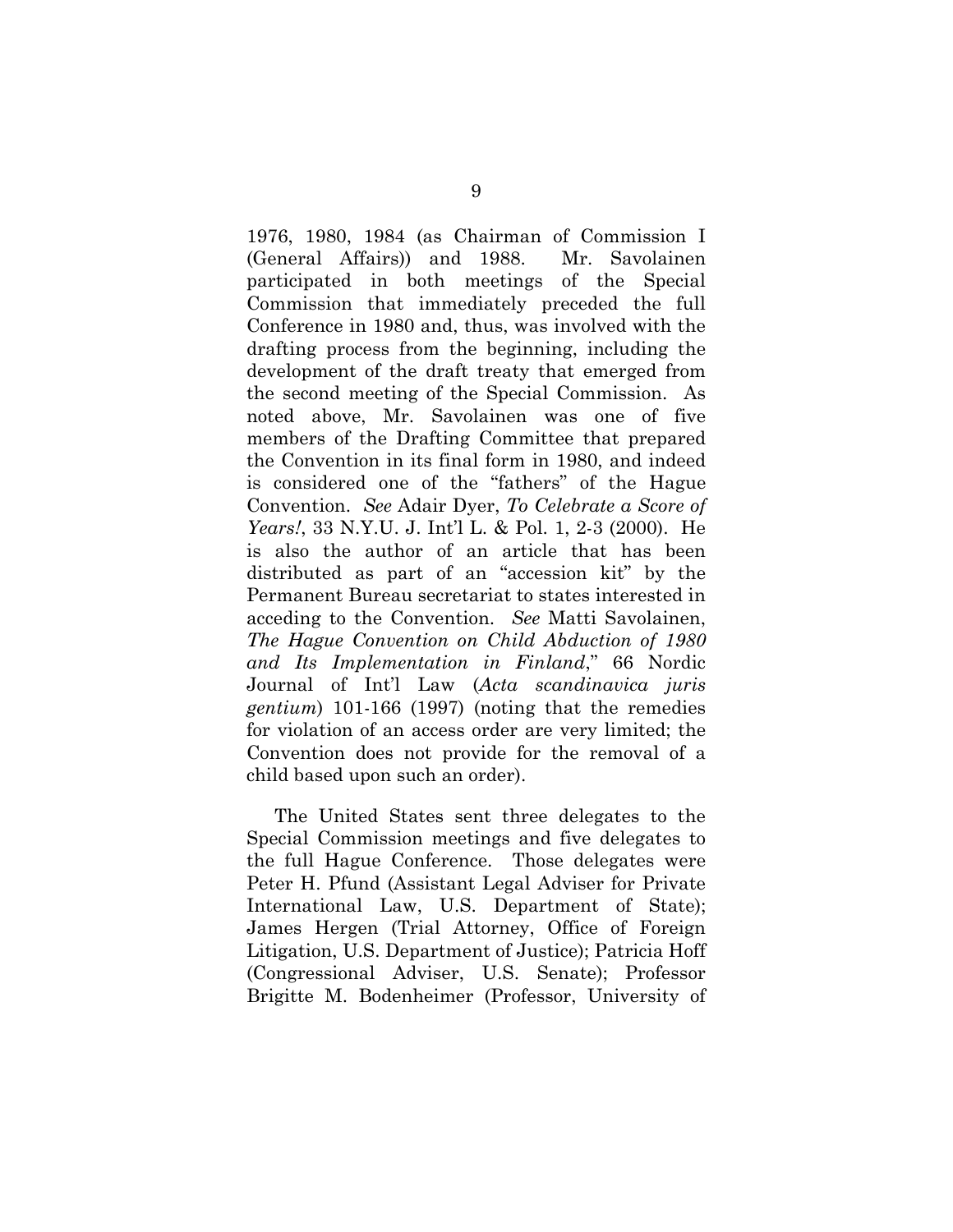1976, 1980, 1984 (as Chairman of Commission I (General Affairs)) and 1988. Mr. Savolainen participated in both meetings of the Special Commission that immediately preceded the full Conference in 1980 and, thus, was involved with the drafting process from the beginning, including the development of the draft treaty that emerged from the second meeting of the Special Commission. As noted above, Mr. Savolainen was one of five members of the Drafting Committee that prepared the Convention in its final form in 1980, and indeed is considered one of the "fathers" of the Hague Convention. *See* Adair Dyer, *To Celebrate a Score of Years!*, 33 N.Y.U. J. Int'l L. & Pol. 1, 2-3 (2000). He is also the author of an article that has been distributed as part of an "accession kit" by the Permanent Bureau secretariat to states interested in acceding to the Convention. *See* Matti Savolainen, *The Hague Convention on Child Abduction of 1980 and Its Implementation in Finland*," 66 Nordic Journal of Int'l Law (*Acta scandinavica juris gentium*) 101-166 (1997) (noting that the remedies for violation of an access order are very limited; the Convention does not provide for the removal of a child based upon such an order).

The United States sent three delegates to the Special Commission meetings and five delegates to the full Hague Conference. Those delegates were Peter H. Pfund (Assistant Legal Adviser for Private International Law, U.S. Department of State); James Hergen (Trial Attorney, Office of Foreign Litigation, U.S. Department of Justice); Patricia Hoff (Congressional Adviser, U.S. Senate); Professor Brigitte M. Bodenheimer (Professor, University of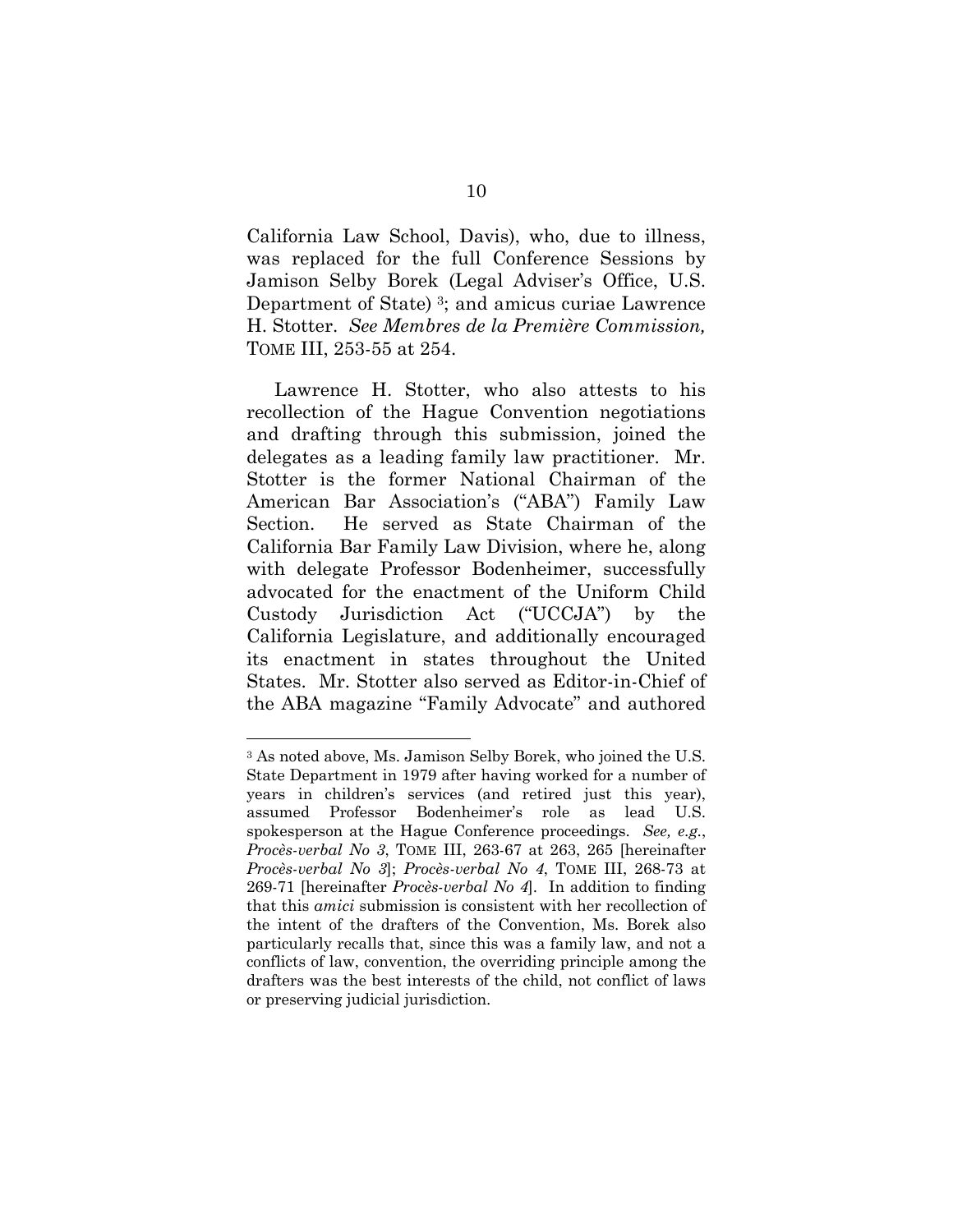California Law School, Davis), who, due to illness, was replaced for the full Conference Sessions by Jamison Selby Borek (Legal Adviser's Office, U.S. Department of State) 3; and amicus curiae Lawrence H. Stotter. *See Membres de la Première Commission,*  TOME III, 253-55 at 254.

Lawrence H. Stotter, who also attests to his recollection of the Hague Convention negotiations and drafting through this submission, joined the delegates as a leading family law practitioner. Mr. Stotter is the former National Chairman of the American Bar Association's ("ABA") Family Law Section. He served as State Chairman of the California Bar Family Law Division, where he, along with delegate Professor Bodenheimer, successfully advocated for the enactment of the Uniform Child Custody Jurisdiction Act ("UCCJA") by the California Legislature, and additionally encouraged its enactment in states throughout the United States. Mr. Stotter also served as Editor-in-Chief of the ABA magazine "Family Advocate" and authored

<sup>3</sup> As noted above, Ms. Jamison Selby Borek, who joined the U.S. State Department in 1979 after having worked for a number of years in children's services (and retired just this year), assumed Professor Bodenheimer's role as lead U.S. spokesperson at the Hague Conference proceedings. *See, e.g.*, *Procès-verbal No 3*, TOME III, 263-67 at 263, 265 [hereinafter *Procès-verbal No 3*]; *Procès-verbal No 4*, TOME III, 268-73 at 269-71 [hereinafter *Procès-verbal No 4*]. In addition to finding that this *amici* submission is consistent with her recollection of the intent of the drafters of the Convention, Ms. Borek also particularly recalls that, since this was a family law, and not a conflicts of law, convention, the overriding principle among the drafters was the best interests of the child, not conflict of laws or preserving judicial jurisdiction.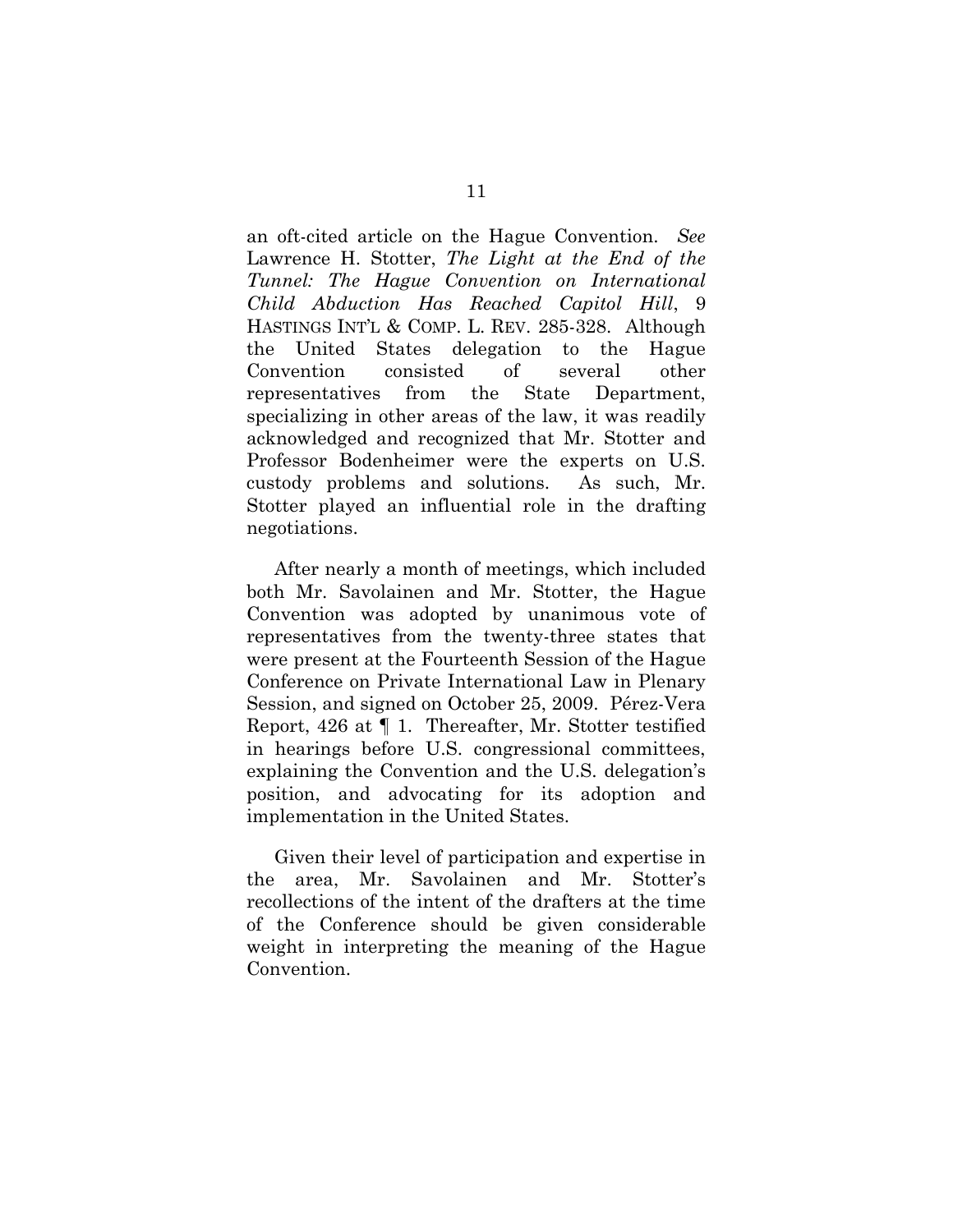an oft-cited article on the Hague Convention. *See* Lawrence H. Stotter, *The Light at the End of the Tunnel: The Hague Convention on International Child Abduction Has Reached Capitol Hill*, 9 HASTINGS INT'L & COMP. L. REV. 285-328. Although the United States delegation to the Hague Convention consisted of several other representatives from the State Department, specializing in other areas of the law, it was readily acknowledged and recognized that Mr. Stotter and Professor Bodenheimer were the experts on U.S. custody problems and solutions. As such, Mr. Stotter played an influential role in the drafting negotiations.

After nearly a month of meetings, which included both Mr. Savolainen and Mr. Stotter, the Hague Convention was adopted by unanimous vote of representatives from the twenty-three states that were present at the Fourteenth Session of the Hague Conference on Private International Law in Plenary Session, and signed on October 25, 2009. Pérez-Vera Report, 426 at ¶ 1. Thereafter, Mr. Stotter testified in hearings before U.S. congressional committees, explaining the Convention and the U.S. delegation's position, and advocating for its adoption and implementation in the United States.

Given their level of participation and expertise in the area, Mr. Savolainen and Mr. Stotter's recollections of the intent of the drafters at the time of the Conference should be given considerable weight in interpreting the meaning of the Hague Convention.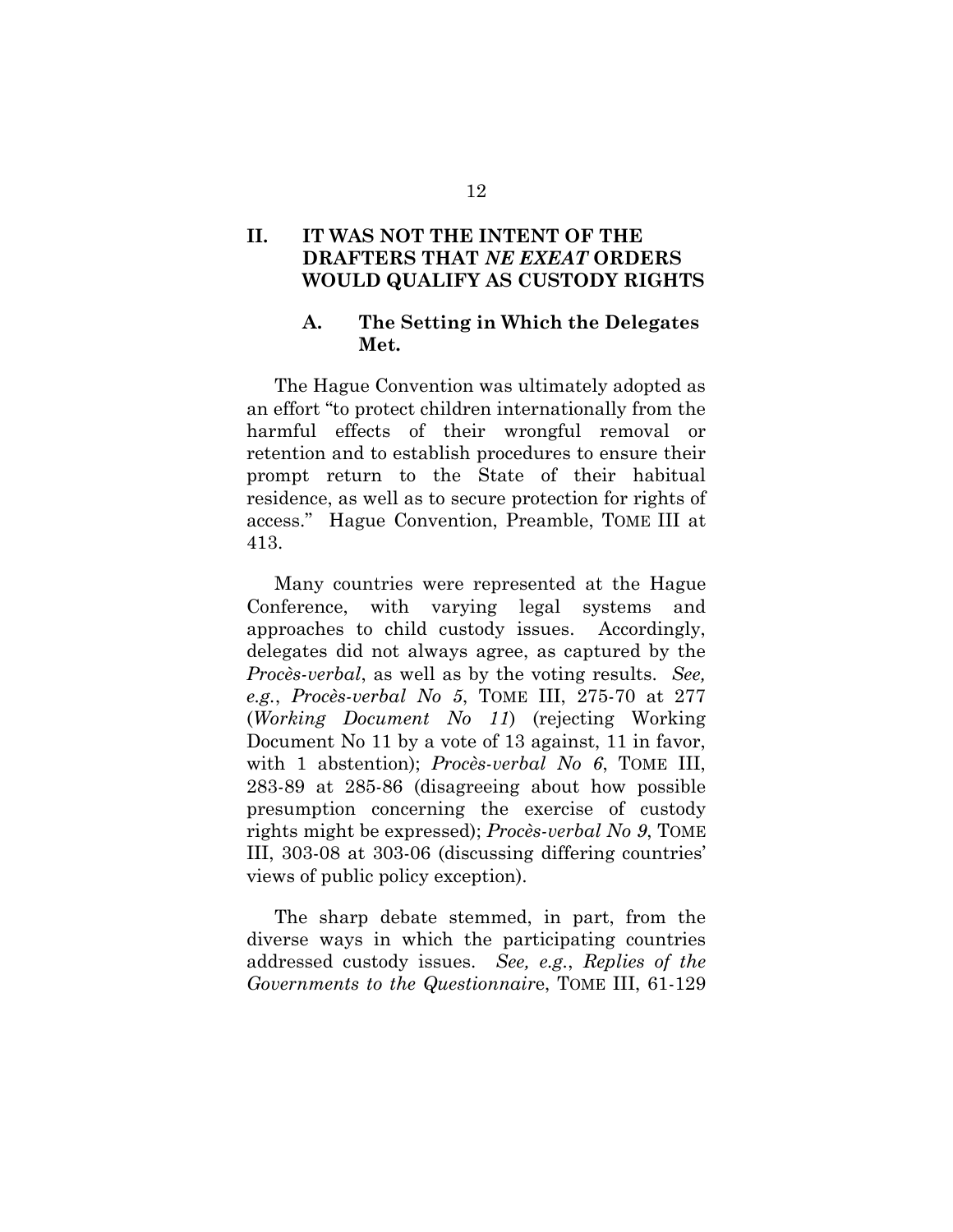# **II. IT WAS NOT THE INTENT OF THE DRAFTERS THAT** *NE EXEAT* **ORDERS WOULD QUALIFY AS CUSTODY RIGHTS**

## **A. The Setting in Which the Delegates Met.**

The Hague Convention was ultimately adopted as an effort "to protect children internationally from the harmful effects of their wrongful removal or retention and to establish procedures to ensure their prompt return to the State of their habitual residence, as well as to secure protection for rights of access." Hague Convention, Preamble, TOME III at 413.

Many countries were represented at the Hague Conference, with varying legal systems and approaches to child custody issues. Accordingly, delegates did not always agree, as captured by the *Procès-verbal*, as well as by the voting results. *See, e.g.*, *Procès-verbal No 5*, TOME III, 275-70 at 277 (*Working Document No 11*) (rejecting Working Document No 11 by a vote of 13 against, 11 in favor, with 1 abstention); *Procès-verbal No 6*, TOME III, 283-89 at 285-86 (disagreeing about how possible presumption concerning the exercise of custody rights might be expressed); *Procès-verbal No 9*, TOME III, 303-08 at 303-06 (discussing differing countries' views of public policy exception).

The sharp debate stemmed, in part, from the diverse ways in which the participating countries addressed custody issues. *See, e.g.*, *Replies of the Governments to the Questionnair*e, TOME III, 61-129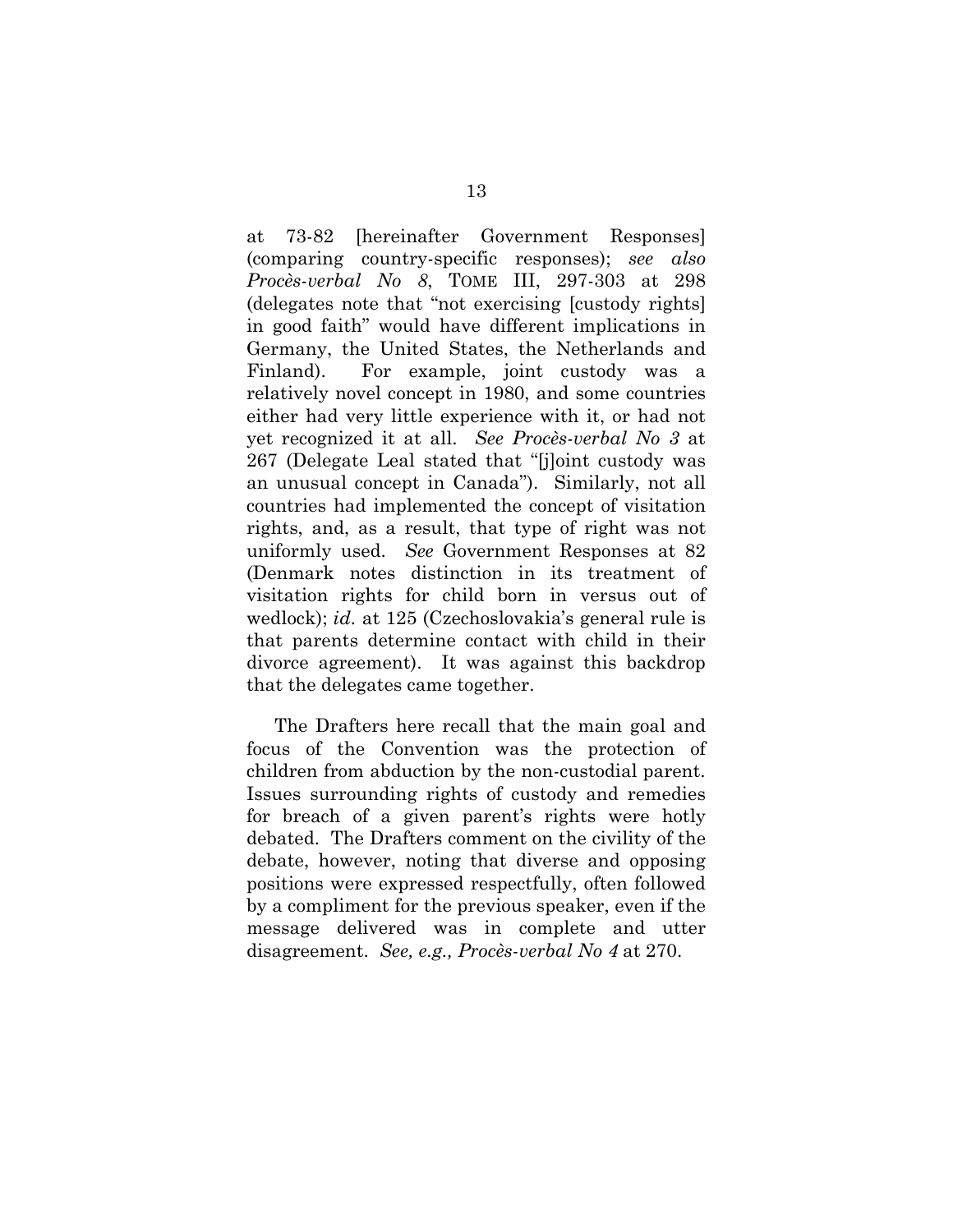at 73-82 [hereinafter Government Responses] (comparing country-specific responses); *see also Procès-verbal No 8*, TOME III, 297-303 at 298 (delegates note that "not exercising [custody rights] in good faith" would have different implications in Germany, the United States, the Netherlands and Finland). For example, joint custody was a relatively novel concept in 1980, and some countries either had very little experience with it, or had not yet recognized it at all. *See Procès-verbal No 3* at 267 (Delegate Leal stated that "[j]oint custody was an unusual concept in Canada"). Similarly, not all countries had implemented the concept of visitation rights, and, as a result, that type of right was not uniformly used. *See* Government Responses at 82 (Denmark notes distinction in its treatment of visitation rights for child born in versus out of wedlock); *id.* at 125 (Czechoslovakia's general rule is that parents determine contact with child in their divorce agreement). It was against this backdrop that the delegates came together.

The Drafters here recall that the main goal and focus of the Convention was the protection of children from abduction by the non-custodial parent. Issues surrounding rights of custody and remedies for breach of a given parent's rights were hotly debated. The Drafters comment on the civility of the debate, however, noting that diverse and opposing positions were expressed respectfully, often followed by a compliment for the previous speaker, even if the message delivered was in complete and utter disagreement. *See, e.g., Procès-verbal No 4* at 270.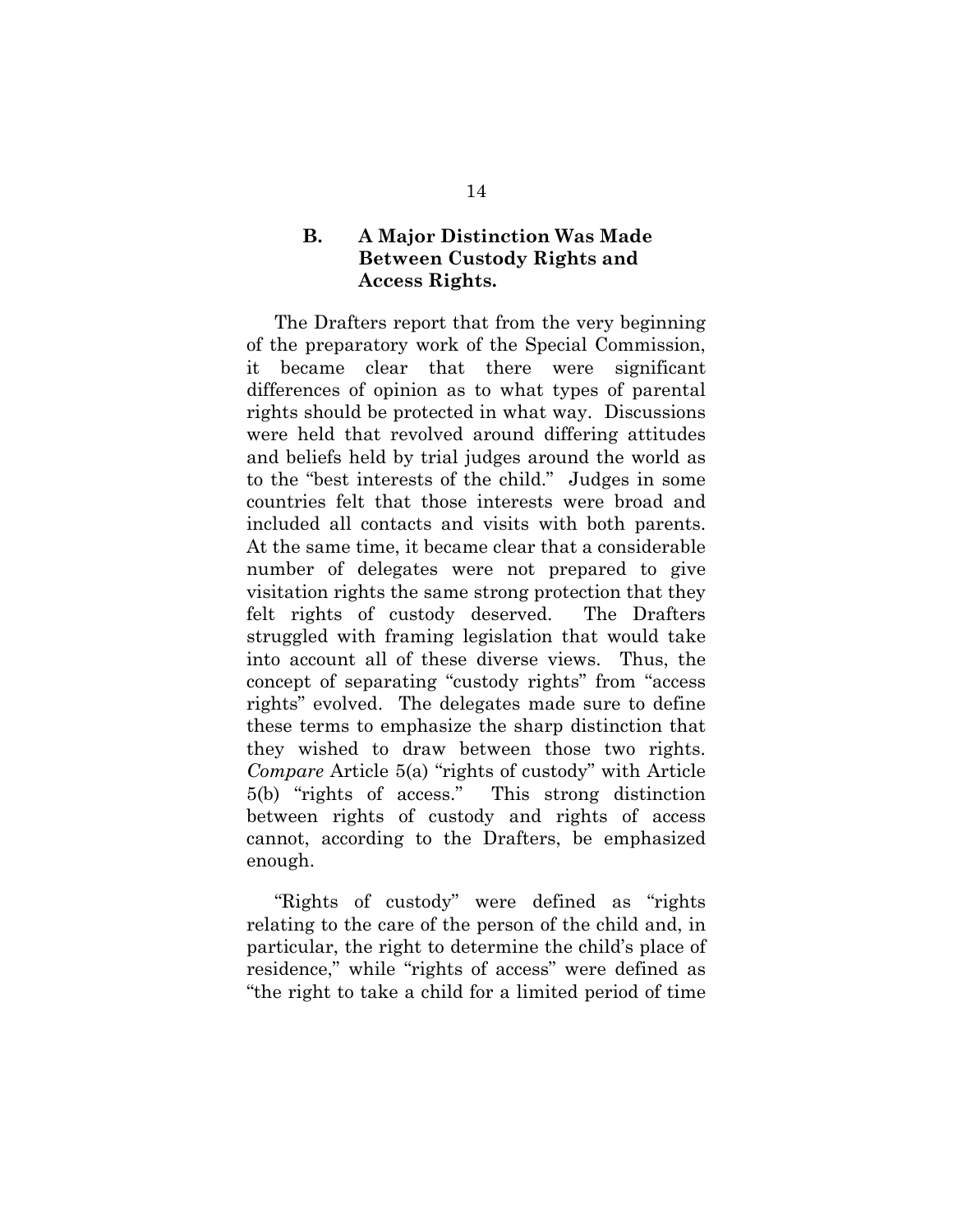## **B. A Major Distinction Was Made Between Custody Rights and Access Rights.**

The Drafters report that from the very beginning of the preparatory work of the Special Commission, it became clear that there were significant differences of opinion as to what types of parental rights should be protected in what way. Discussions were held that revolved around differing attitudes and beliefs held by trial judges around the world as to the "best interests of the child." Judges in some countries felt that those interests were broad and included all contacts and visits with both parents. At the same time, it became clear that a considerable number of delegates were not prepared to give visitation rights the same strong protection that they felt rights of custody deserved. The Drafters struggled with framing legislation that would take into account all of these diverse views. Thus, the concept of separating "custody rights" from "access rights" evolved. The delegates made sure to define these terms to emphasize the sharp distinction that they wished to draw between those two rights. *Compare* Article 5(a) "rights of custody" with Article 5(b) "rights of access." This strong distinction between rights of custody and rights of access cannot, according to the Drafters, be emphasized enough.

"Rights of custody" were defined as "rights relating to the care of the person of the child and, in particular, the right to determine the child's place of residence," while "rights of access" were defined as "the right to take a child for a limited period of time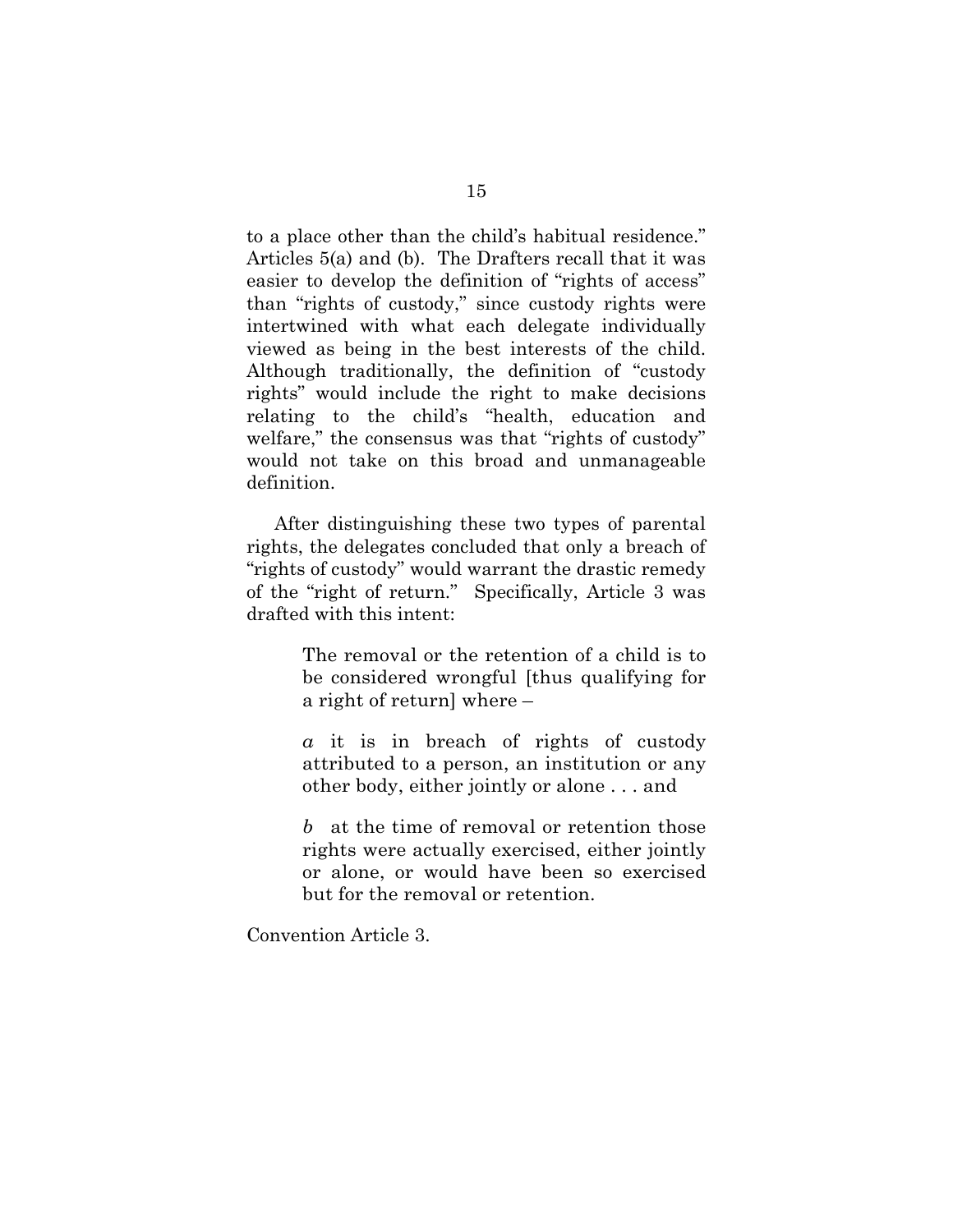to a place other than the child's habitual residence." Articles 5(a) and (b). The Drafters recall that it was easier to develop the definition of "rights of access" than "rights of custody," since custody rights were intertwined with what each delegate individually viewed as being in the best interests of the child. Although traditionally, the definition of "custody rights" would include the right to make decisions relating to the child's "health, education and welfare," the consensus was that "rights of custody" would not take on this broad and unmanageable definition.

After distinguishing these two types of parental rights, the delegates concluded that only a breach of "rights of custody" would warrant the drastic remedy of the "right of return." Specifically, Article 3 was drafted with this intent:

> The removal or the retention of a child is to be considered wrongful [thus qualifying for a right of return] where –

> *a* it is in breach of rights of custody attributed to a person, an institution or any other body, either jointly or alone . . . and

> *b* at the time of removal or retention those rights were actually exercised, either jointly or alone, or would have been so exercised but for the removal or retention.

Convention Article 3.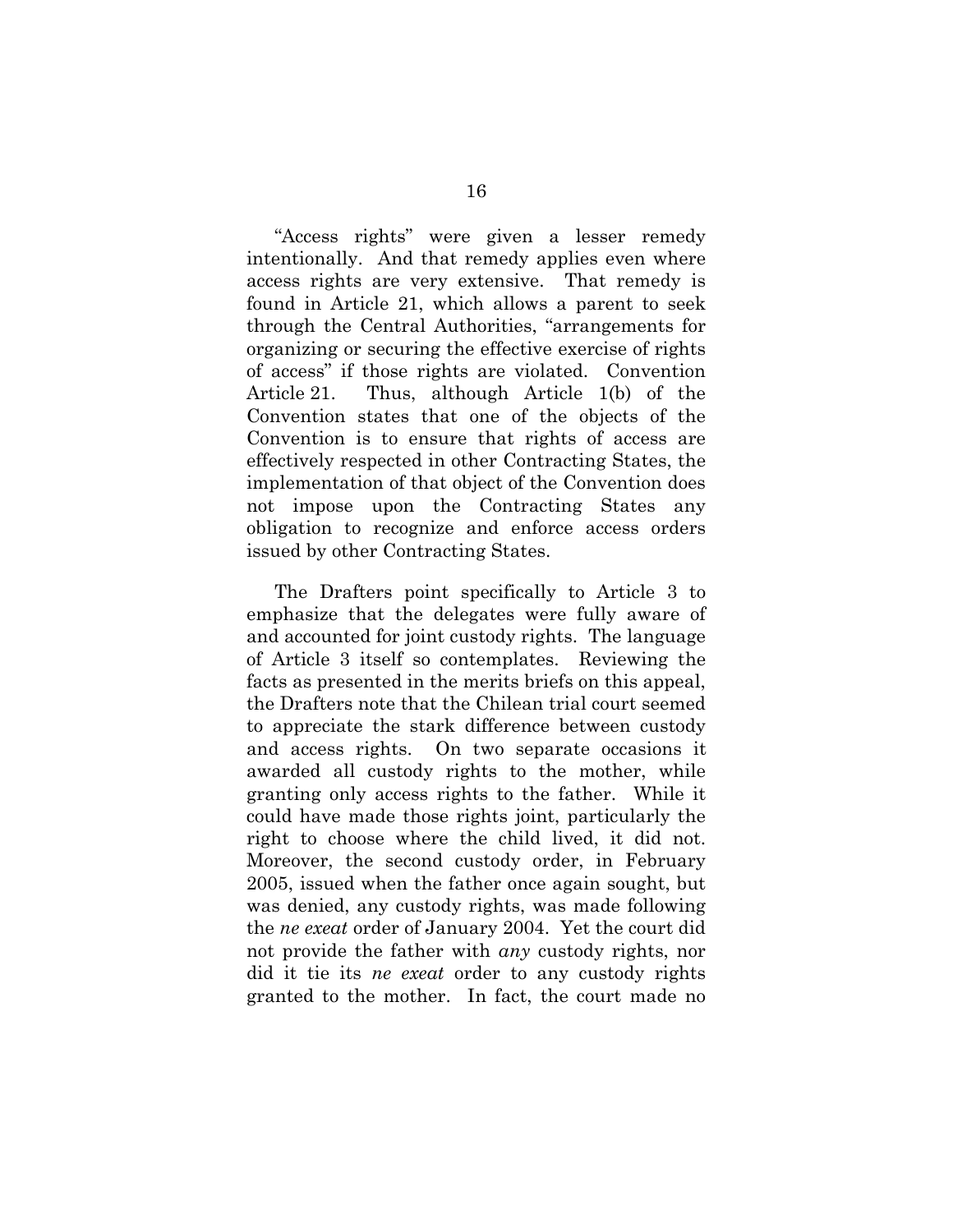"Access rights" were given a lesser remedy intentionally. And that remedy applies even where access rights are very extensive. That remedy is found in Article 21, which allows a parent to seek through the Central Authorities, "arrangements for organizing or securing the effective exercise of rights of access" if those rights are violated. Convention Article 21. Thus, although Article 1(b) of the Convention states that one of the objects of the Convention is to ensure that rights of access are effectively respected in other Contracting States, the implementation of that object of the Convention does not impose upon the Contracting States any obligation to recognize and enforce access orders issued by other Contracting States.

The Drafters point specifically to Article 3 to emphasize that the delegates were fully aware of and accounted for joint custody rights. The language of Article 3 itself so contemplates. Reviewing the facts as presented in the merits briefs on this appeal, the Drafters note that the Chilean trial court seemed to appreciate the stark difference between custody and access rights. On two separate occasions it awarded all custody rights to the mother, while granting only access rights to the father. While it could have made those rights joint, particularly the right to choose where the child lived, it did not. Moreover, the second custody order, in February 2005, issued when the father once again sought, but was denied, any custody rights, was made following the *ne exeat* order of January 2004. Yet the court did not provide the father with *any* custody rights, nor did it tie its *ne exeat* order to any custody rights granted to the mother. In fact, the court made no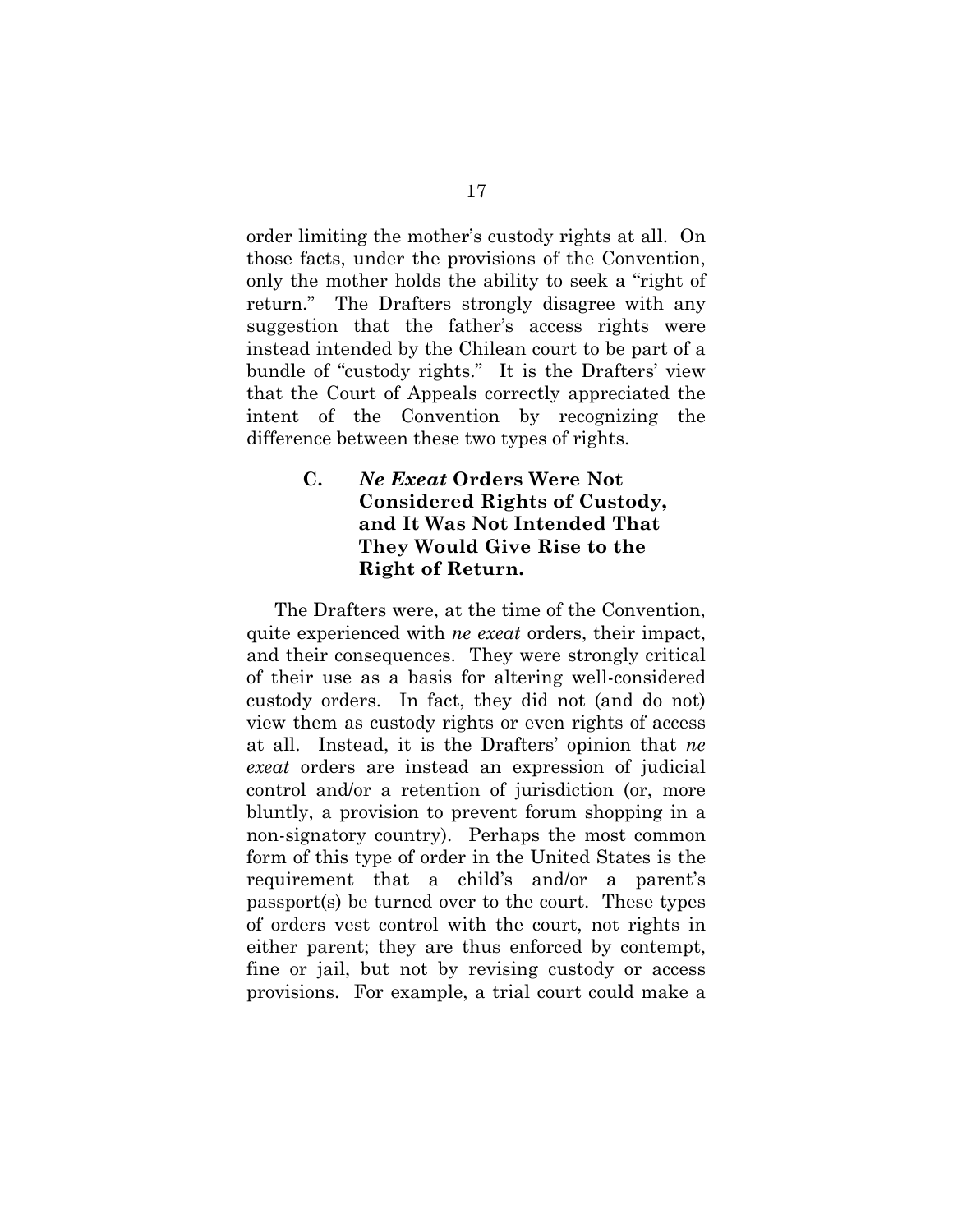order limiting the mother's custody rights at all. On those facts, under the provisions of the Convention, only the mother holds the ability to seek a "right of return." The Drafters strongly disagree with any suggestion that the father's access rights were instead intended by the Chilean court to be part of a bundle of "custody rights." It is the Drafters' view that the Court of Appeals correctly appreciated the intent of the Convention by recognizing the difference between these two types of rights.

# **C.** *Ne Exeat* **Orders Were Not Considered Rights of Custody, and It Was Not Intended That They Would Give Rise to the Right of Return.**

The Drafters were, at the time of the Convention, quite experienced with *ne exeat* orders, their impact, and their consequences. They were strongly critical of their use as a basis for altering well-considered custody orders. In fact, they did not (and do not) view them as custody rights or even rights of access at all. Instead, it is the Drafters' opinion that *ne exeat* orders are instead an expression of judicial control and/or a retention of jurisdiction (or, more bluntly, a provision to prevent forum shopping in a non-signatory country). Perhaps the most common form of this type of order in the United States is the requirement that a child's and/or a parent's passport(s) be turned over to the court. These types of orders vest control with the court, not rights in either parent; they are thus enforced by contempt, fine or jail, but not by revising custody or access provisions. For example, a trial court could make a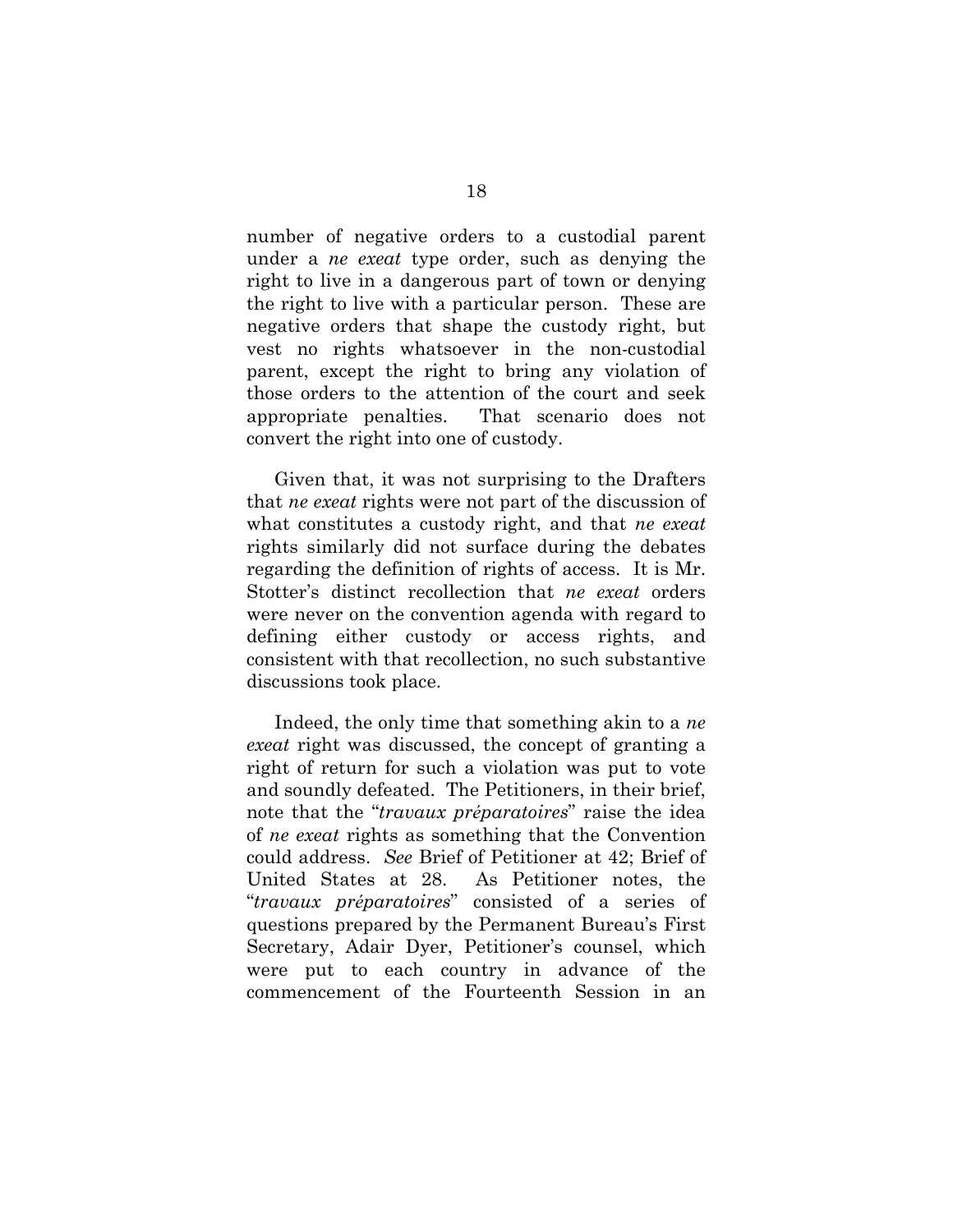number of negative orders to a custodial parent under a *ne exeat* type order, such as denying the right to live in a dangerous part of town or denying the right to live with a particular person. These are negative orders that shape the custody right, but vest no rights whatsoever in the non-custodial parent, except the right to bring any violation of those orders to the attention of the court and seek appropriate penalties. That scenario does not convert the right into one of custody.

Given that, it was not surprising to the Drafters that *ne exeat* rights were not part of the discussion of what constitutes a custody right, and that *ne exeat* rights similarly did not surface during the debates regarding the definition of rights of access. It is Mr. Stotter's distinct recollection that *ne exeat* orders were never on the convention agenda with regard to defining either custody or access rights, and consistent with that recollection, no such substantive discussions took place.

Indeed, the only time that something akin to a *ne exeat* right was discussed, the concept of granting a right of return for such a violation was put to vote and soundly defeated. The Petitioners, in their brief, note that the "*travaux préparatoires*" raise the idea of *ne exeat* rights as something that the Convention could address. *See* Brief of Petitioner at 42; Brief of United States at 28. As Petitioner notes, the "*travaux préparatoires*" consisted of a series of questions prepared by the Permanent Bureau's First Secretary, Adair Dyer, Petitioner's counsel, which were put to each country in advance of the commencement of the Fourteenth Session in an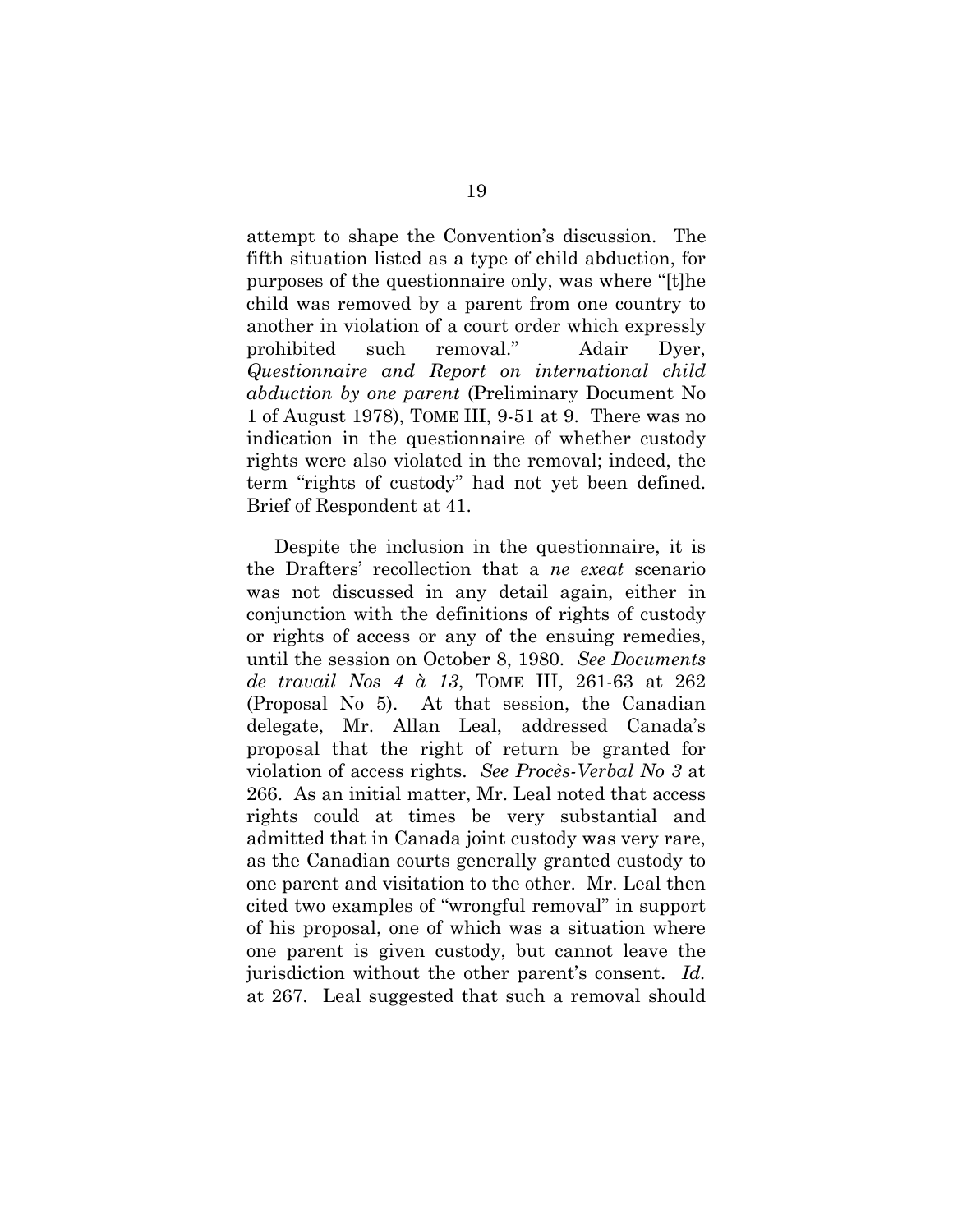attempt to shape the Convention's discussion. The fifth situation listed as a type of child abduction, for purposes of the questionnaire only, was where "[t]he child was removed by a parent from one country to another in violation of a court order which expressly prohibited such removal." Adair Dyer, *Questionnaire and Report on international child abduction by one parent* (Preliminary Document No 1 of August 1978), TOME III, 9-51 at 9. There was no indication in the questionnaire of whether custody rights were also violated in the removal; indeed, the term "rights of custody" had not yet been defined. Brief of Respondent at 41.

Despite the inclusion in the questionnaire, it is the Drafters' recollection that a *ne exeat* scenario was not discussed in any detail again, either in conjunction with the definitions of rights of custody or rights of access or any of the ensuing remedies, until the session on October 8, 1980. *See Documents de travail Nos 4 à 13*, TOME III, 261-63 at 262 (Proposal No 5). At that session, the Canadian delegate, Mr. Allan Leal, addressed Canada's proposal that the right of return be granted for violation of access rights. *See Procès-Verbal No 3* at 266. As an initial matter, Mr. Leal noted that access rights could at times be very substantial and admitted that in Canada joint custody was very rare, as the Canadian courts generally granted custody to one parent and visitation to the other. Mr. Leal then cited two examples of "wrongful removal" in support of his proposal, one of which was a situation where one parent is given custody, but cannot leave the jurisdiction without the other parent's consent. *Id.* at 267. Leal suggested that such a removal should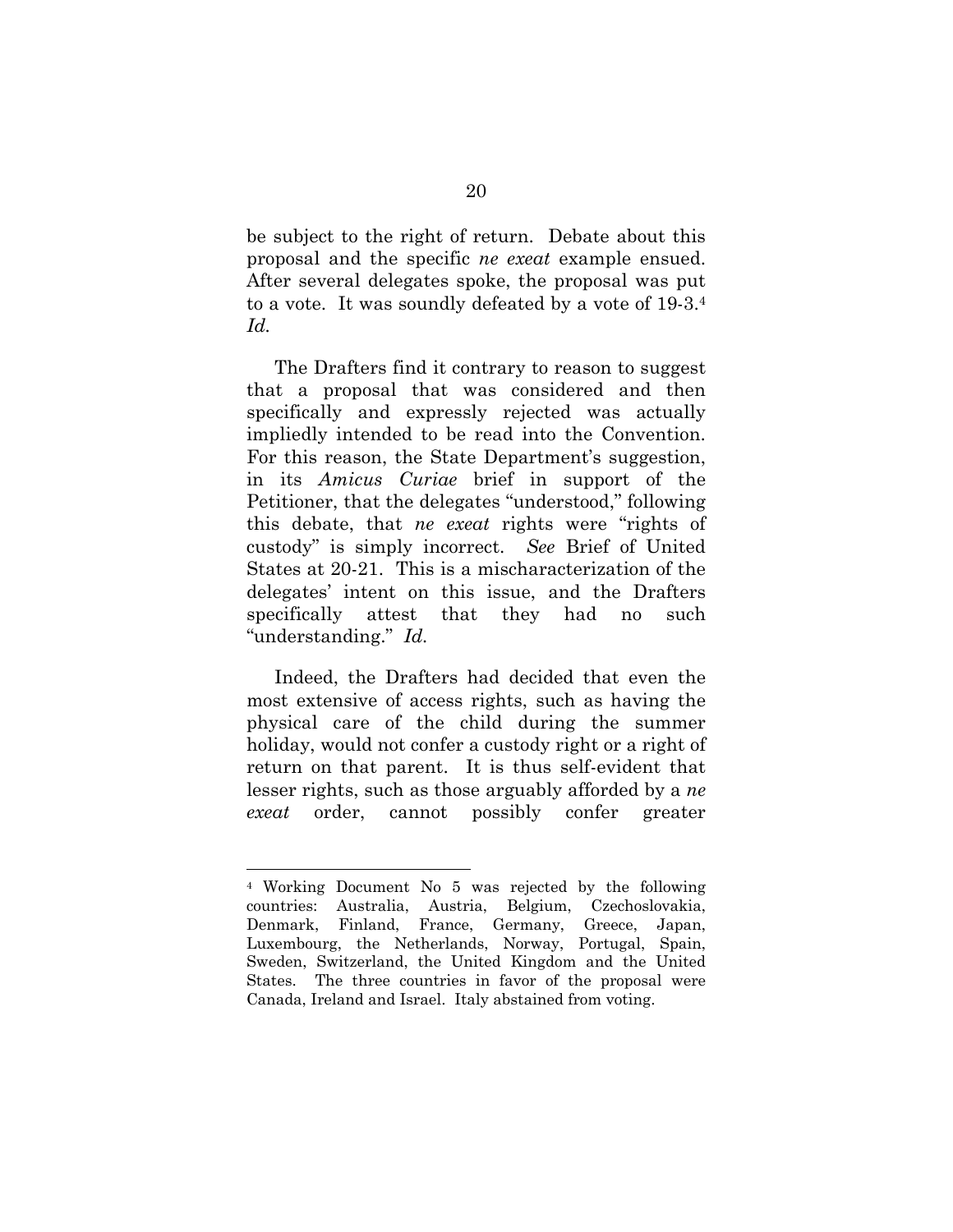be subject to the right of return. Debate about this proposal and the specific *ne exeat* example ensued. After several delegates spoke, the proposal was put to a vote. It was soundly defeated by a vote of 19-3.4 *Id.*

The Drafters find it contrary to reason to suggest that a proposal that was considered and then specifically and expressly rejected was actually impliedly intended to be read into the Convention. For this reason, the State Department's suggestion, in its *Amicus Curiae* brief in support of the Petitioner, that the delegates "understood," following this debate, that *ne exeat* rights were "rights of custody" is simply incorrect. *See* Brief of United States at 20-21. This is a mischaracterization of the delegates' intent on this issue, and the Drafters specifically attest that they had no such "understanding." *Id.*

Indeed, the Drafters had decided that even the most extensive of access rights, such as having the physical care of the child during the summer holiday, would not confer a custody right or a right of return on that parent. It is thus self-evident that lesser rights, such as those arguably afforded by a *ne exeat* order, cannot possibly confer greater

<sup>4</sup> Working Document No 5 was rejected by the following countries: Australia, Austria, Belgium, Czechoslovakia, Denmark, Finland, France, Germany, Greece, Japan, Luxembourg, the Netherlands, Norway, Portugal, Spain, Sweden, Switzerland, the United Kingdom and the United States. The three countries in favor of the proposal were Canada, Ireland and Israel. Italy abstained from voting.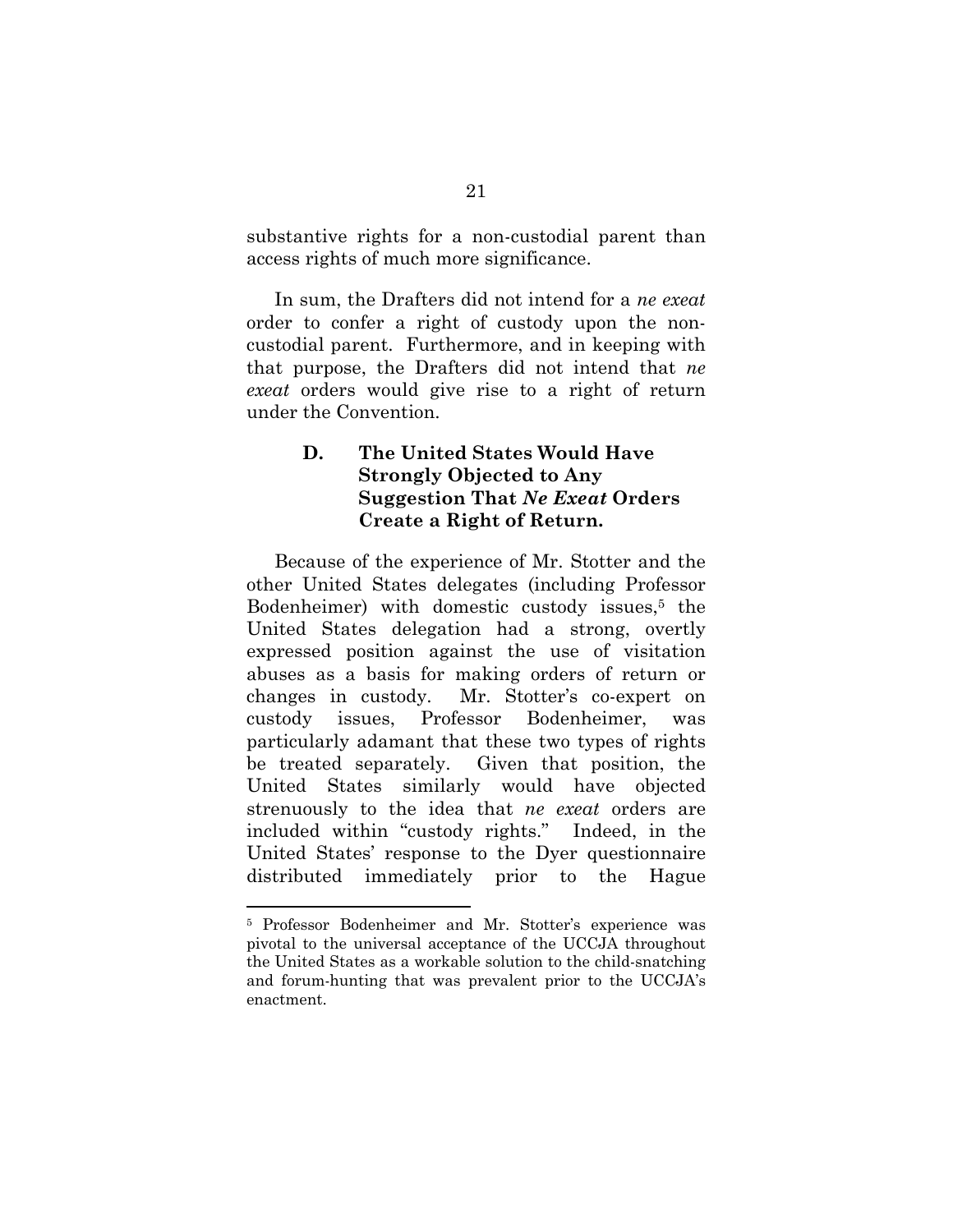substantive rights for a non-custodial parent than access rights of much more significance.

In sum, the Drafters did not intend for a *ne exeat* order to confer a right of custody upon the noncustodial parent. Furthermore, and in keeping with that purpose, the Drafters did not intend that *ne exeat* orders would give rise to a right of return under the Convention.

# **D. The United States Would Have Strongly Objected to Any Suggestion That** *Ne Exeat* **Orders Create a Right of Return.**

Because of the experience of Mr. Stotter and the other United States delegates (including Professor Bodenheimer) with domestic custody issues,<sup>5</sup> the United States delegation had a strong, overtly expressed position against the use of visitation abuses as a basis for making orders of return or changes in custody. Mr. Stotter's co-expert on custody issues, Professor Bodenheimer, was particularly adamant that these two types of rights be treated separately. Given that position, the United States similarly would have objected strenuously to the idea that *ne exeat* orders are included within "custody rights." Indeed, in the United States' response to the Dyer questionnaire distributed immediately prior to the Hague

<sup>5</sup> Professor Bodenheimer and Mr. Stotter's experience was pivotal to the universal acceptance of the UCCJA throughout the United States as a workable solution to the child-snatching and forum-hunting that was prevalent prior to the UCCJA's enactment.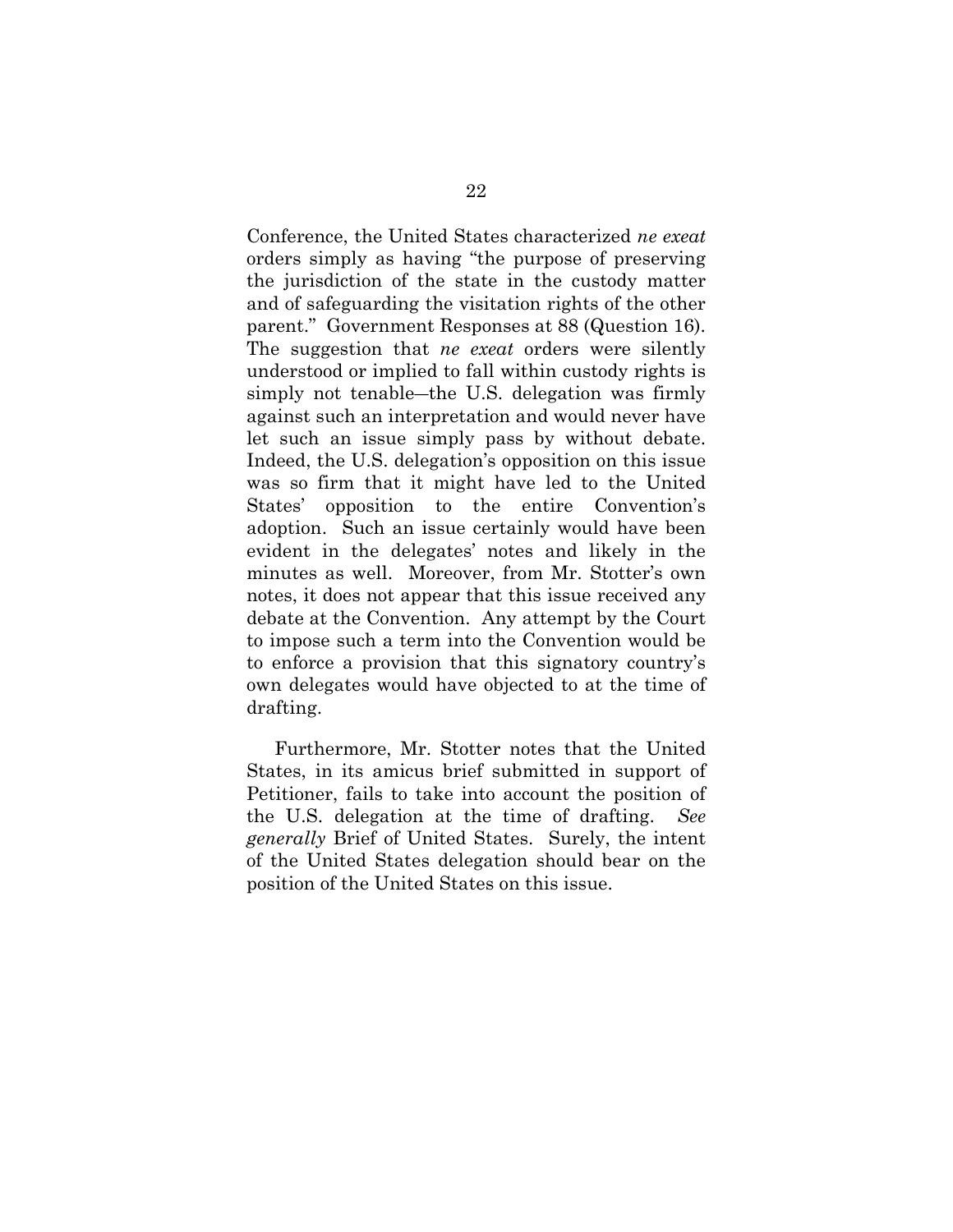Conference, the United States characterized *ne exeat* orders simply as having "the purpose of preserving the jurisdiction of the state in the custody matter and of safeguarding the visitation rights of the other parent." Government Responses at 88 (Question 16). The suggestion that *ne exeat* orders were silently understood or implied to fall within custody rights is simply not tenable—the U.S. delegation was firmly against such an interpretation and would never have let such an issue simply pass by without debate. Indeed, the U.S. delegation's opposition on this issue was so firm that it might have led to the United States' opposition to the entire Convention's adoption. Such an issue certainly would have been evident in the delegates' notes and likely in the minutes as well. Moreover, from Mr. Stotter's own notes, it does not appear that this issue received any debate at the Convention. Any attempt by the Court to impose such a term into the Convention would be to enforce a provision that this signatory country's own delegates would have objected to at the time of drafting.

Furthermore, Mr. Stotter notes that the United States, in its amicus brief submitted in support of Petitioner, fails to take into account the position of the U.S. delegation at the time of drafting. *See generally* Brief of United States. Surely, the intent of the United States delegation should bear on the position of the United States on this issue.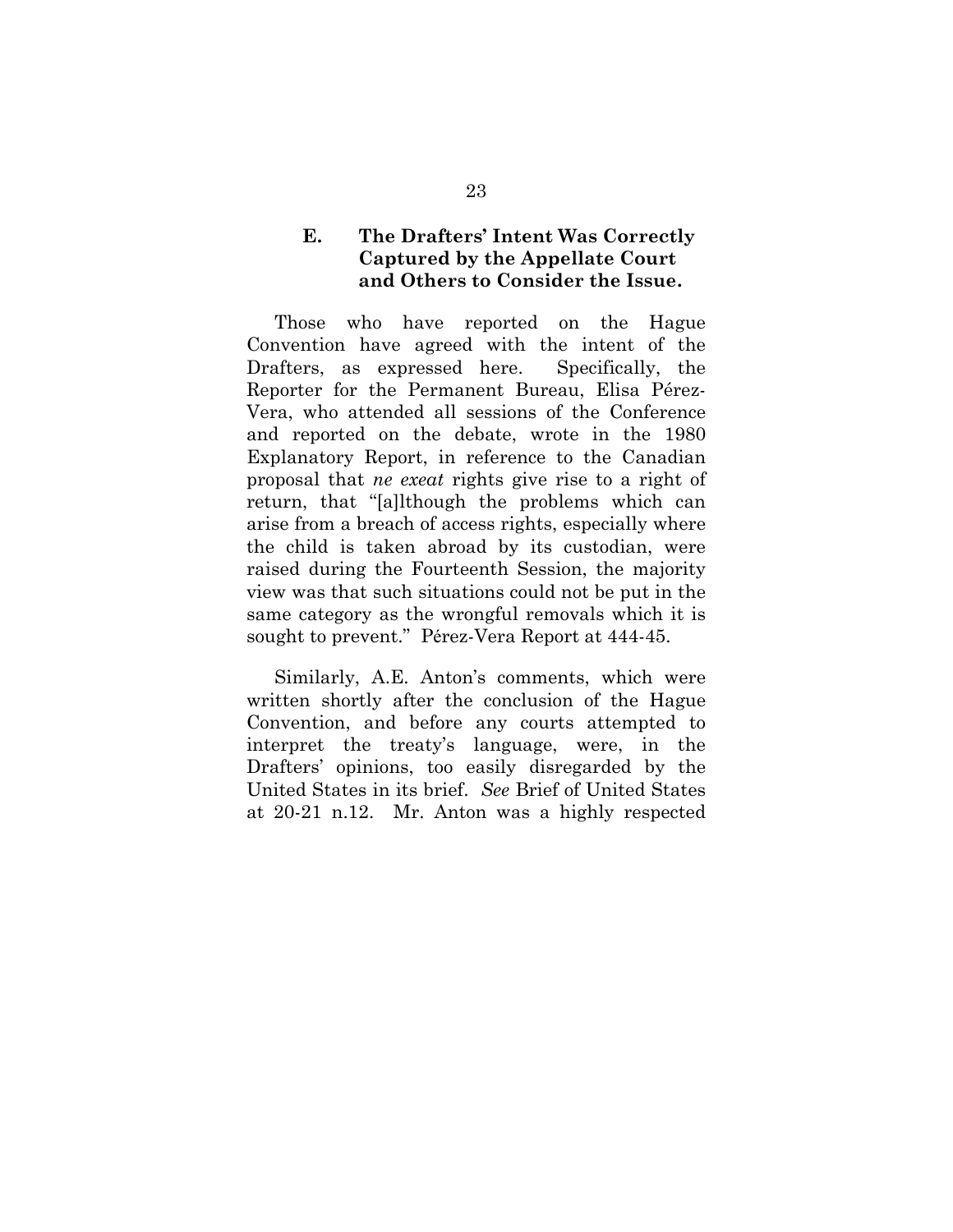## **E. The Drafters' Intent Was Correctly Captured by the Appellate Court and Others to Consider the Issue.**

Those who have reported on the Hague Convention have agreed with the intent of the Drafters, as expressed here. Specifically, the Reporter for the Permanent Bureau, Elisa Pérez-Vera, who attended all sessions of the Conference and reported on the debate, wrote in the 1980 Explanatory Report, in reference to the Canadian proposal that *ne exeat* rights give rise to a right of return, that "[a]lthough the problems which can arise from a breach of access rights, especially where the child is taken abroad by its custodian, were raised during the Fourteenth Session, the majority view was that such situations could not be put in the same category as the wrongful removals which it is sought to prevent." Pérez-Vera Report at 444-45.

Similarly, A.E. Anton's comments, which were written shortly after the conclusion of the Hague Convention, and before any courts attempted to interpret the treaty's language, were, in the Drafters' opinions, too easily disregarded by the United States in its brief. *See* Brief of United States at 20-21 n.12. Mr. Anton was a highly respected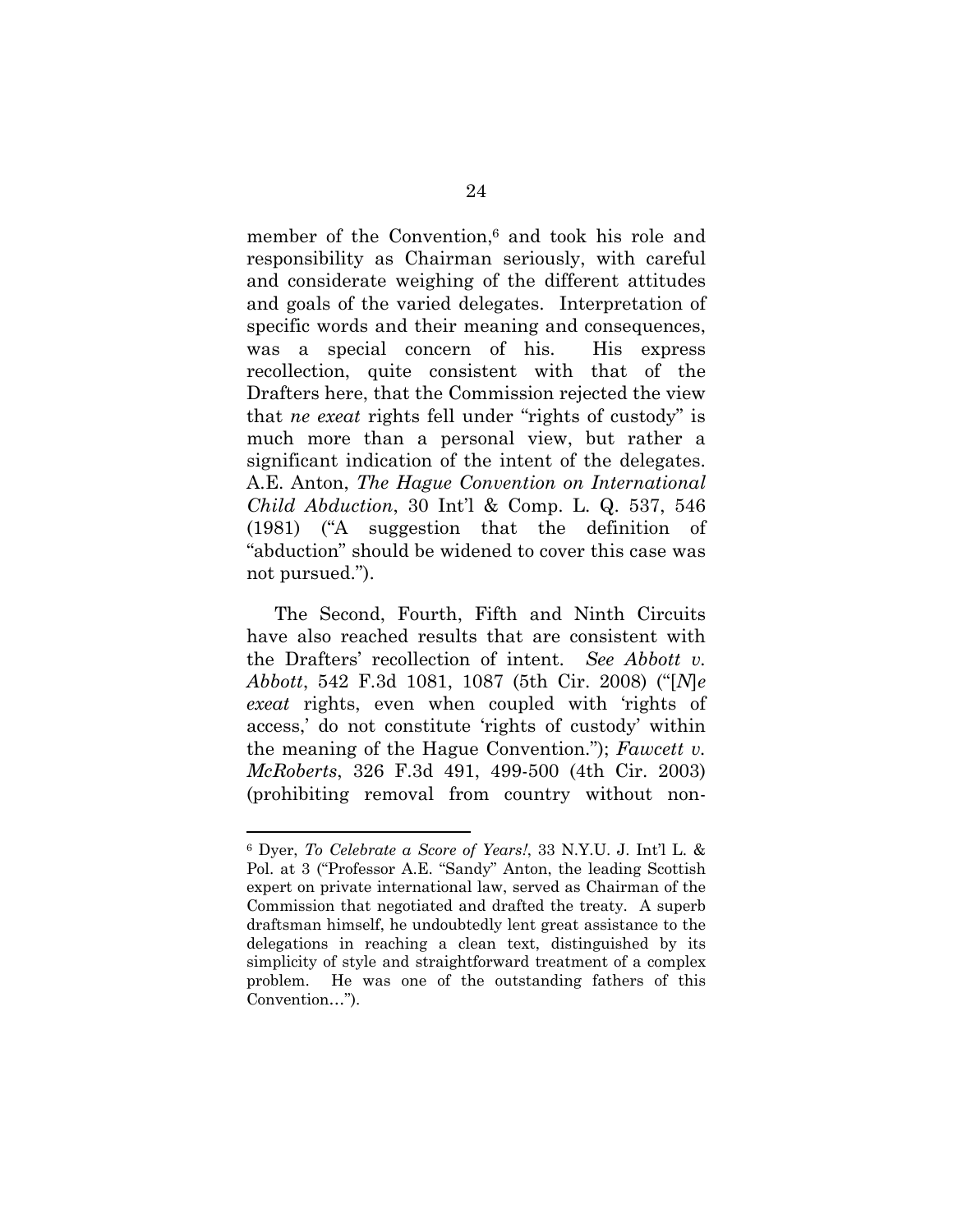member of the Convention,<sup>6</sup> and took his role and responsibility as Chairman seriously, with careful and considerate weighing of the different attitudes and goals of the varied delegates. Interpretation of specific words and their meaning and consequences, was a special concern of his. His express recollection, quite consistent with that of the Drafters here, that the Commission rejected the view that *ne exeat* rights fell under "rights of custody" is much more than a personal view, but rather a significant indication of the intent of the delegates. A.E. Anton, *The Hague Convention on International Child Abduction*, 30 Int'l & Comp. L. Q. 537, 546 (1981) ("A suggestion that the definition of "abduction" should be widened to cover this case was not pursued.").

The Second, Fourth, Fifth and Ninth Circuits have also reached results that are consistent with the Drafters' recollection of intent. *See Abbott v. Abbott*, 542 F.3d 1081, 1087 (5th Cir. 2008) ("[*N*]*e exeat* rights, even when coupled with 'rights of access,' do not constitute 'rights of custody' within the meaning of the Hague Convention."); *Fawcett v. McRoberts*, 326 F.3d 491, 499-500 (4th Cir. 2003) (prohibiting removal from country without non-

<sup>6</sup> Dyer, *To Celebrate a Score of Years!*, 33 N.Y.U. J. Int'l L. & Pol. at 3 ("Professor A.E. "Sandy" Anton, the leading Scottish expert on private international law, served as Chairman of the Commission that negotiated and drafted the treaty. A superb draftsman himself, he undoubtedly lent great assistance to the delegations in reaching a clean text, distinguished by its simplicity of style and straightforward treatment of a complex problem. He was one of the outstanding fathers of this Convention…").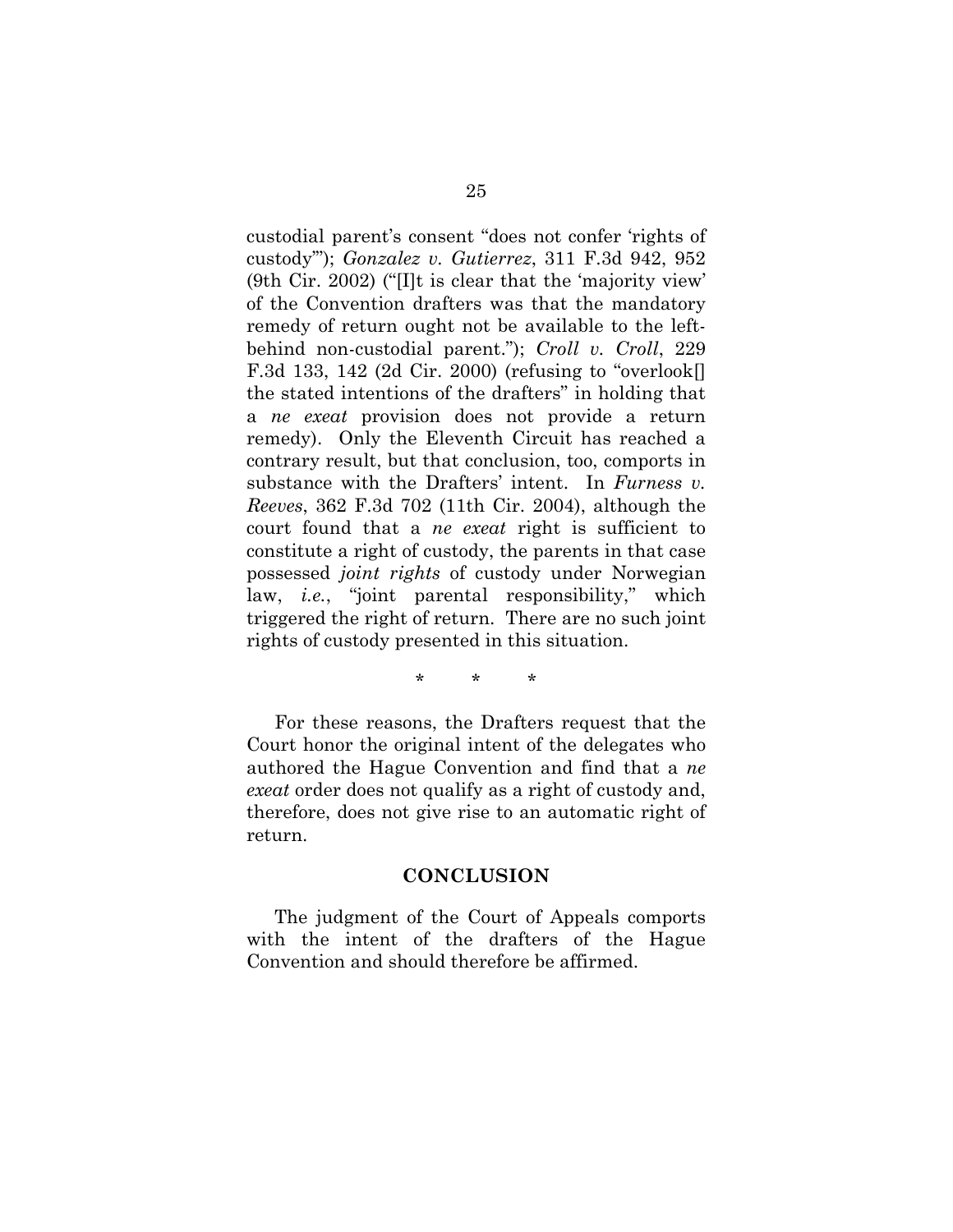custodial parent's consent "does not confer 'rights of custody'"); *Gonzalez v. Gutierrez*, 311 F.3d 942, 952 (9th Cir. 2002) ("[I]t is clear that the 'majority view' of the Convention drafters was that the mandatory remedy of return ought not be available to the leftbehind non-custodial parent."); *Croll v. Croll*, 229 F.3d 133, 142 (2d Cir. 2000) (refusing to "overlook[] the stated intentions of the drafters" in holding that a *ne exeat* provision does not provide a return remedy). Only the Eleventh Circuit has reached a contrary result, but that conclusion, too, comports in substance with the Drafters' intent. In *Furness v. Reeves*, 362 F.3d 702 (11th Cir. 2004), although the court found that a *ne exeat* right is sufficient to constitute a right of custody, the parents in that case possessed *joint rights* of custody under Norwegian law, *i.e.*, "joint parental responsibility," which triggered the right of return. There are no such joint rights of custody presented in this situation.

\* \* \*

For these reasons, the Drafters request that the Court honor the original intent of the delegates who authored the Hague Convention and find that a *ne exeat* order does not qualify as a right of custody and, therefore, does not give rise to an automatic right of return.

#### **CONCLUSION**

The judgment of the Court of Appeals comports with the intent of the drafters of the Hague Convention and should therefore be affirmed.